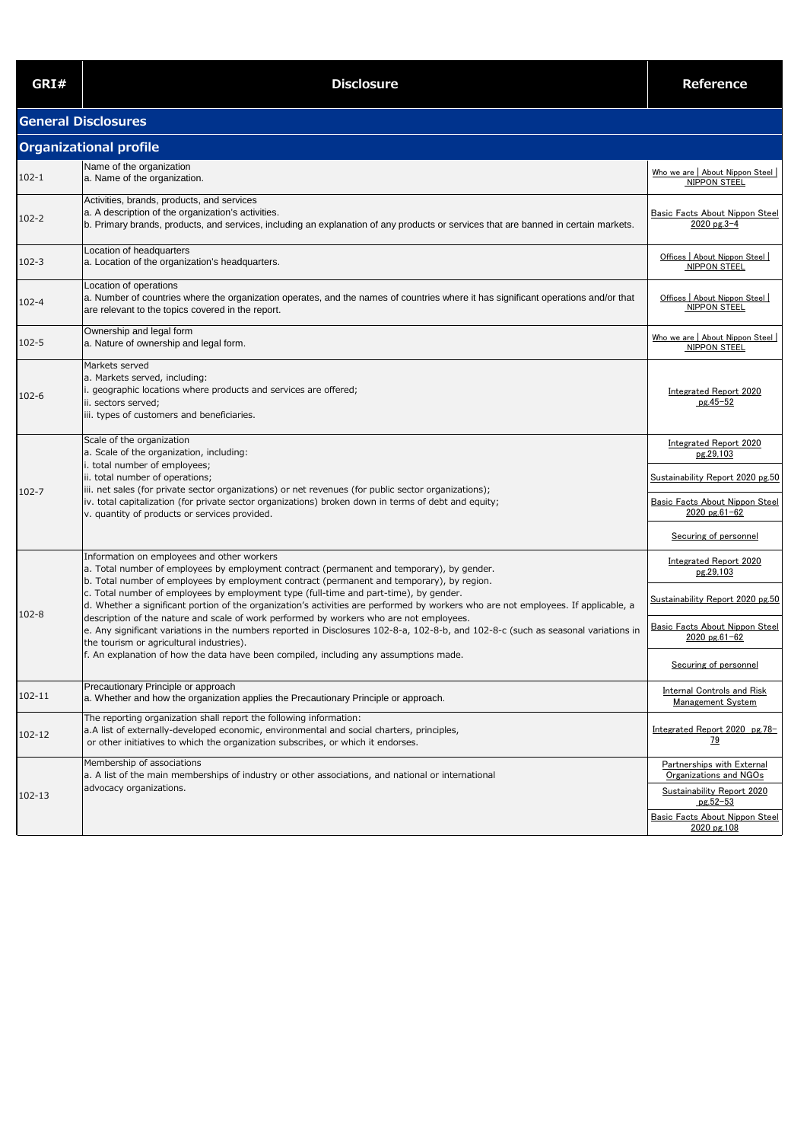| GRI#      | <b>Disclosure</b>                                                                                                                                                                                                                                                                                                                                                                                                                                                                                                                                                                                                                                                                                                                                                                                                                         | <b>Reference</b>                                                                                                                                              |
|-----------|-------------------------------------------------------------------------------------------------------------------------------------------------------------------------------------------------------------------------------------------------------------------------------------------------------------------------------------------------------------------------------------------------------------------------------------------------------------------------------------------------------------------------------------------------------------------------------------------------------------------------------------------------------------------------------------------------------------------------------------------------------------------------------------------------------------------------------------------|---------------------------------------------------------------------------------------------------------------------------------------------------------------|
|           | <b>General Disclosures</b>                                                                                                                                                                                                                                                                                                                                                                                                                                                                                                                                                                                                                                                                                                                                                                                                                |                                                                                                                                                               |
|           | <b>Organizational profile</b>                                                                                                                                                                                                                                                                                                                                                                                                                                                                                                                                                                                                                                                                                                                                                                                                             |                                                                                                                                                               |
| $102 - 1$ | Name of the organization<br>a. Name of the organization.                                                                                                                                                                                                                                                                                                                                                                                                                                                                                                                                                                                                                                                                                                                                                                                  | Who we are   About Nippon Steel  <br><b>NIPPON STEEL</b>                                                                                                      |
| $102 - 2$ | Activities, brands, products, and services<br>a. A description of the organization's activities.<br>b. Primary brands, products, and services, including an explanation of any products or services that are banned in certain markets.                                                                                                                                                                                                                                                                                                                                                                                                                                                                                                                                                                                                   | Basic Facts About Nippon Steel<br>$2020$ pg.3-4                                                                                                               |
| $102 - 3$ | Location of headquarters<br>a. Location of the organization's headquarters.                                                                                                                                                                                                                                                                                                                                                                                                                                                                                                                                                                                                                                                                                                                                                               | Offices   About Nippon Steel  <br>NIPPON STEEL                                                                                                                |
| $102 - 4$ | Location of operations<br>a. Number of countries where the organization operates, and the names of countries where it has significant operations and/or that<br>are relevant to the topics covered in the report.                                                                                                                                                                                                                                                                                                                                                                                                                                                                                                                                                                                                                         | Offices   About Nippon Steel  <br>NIPPON STEEL                                                                                                                |
| $102 - 5$ | Ownership and legal form<br>a. Nature of ownership and legal form.                                                                                                                                                                                                                                                                                                                                                                                                                                                                                                                                                                                                                                                                                                                                                                        | Who we are   About Nippon Steel  <br>NIPPON STEEL                                                                                                             |
| $102 - 6$ | Markets served<br>a. Markets served, including:<br>. geographic locations where products and services are offered;<br>ii. sectors served;<br>iii. types of customers and beneficiaries.                                                                                                                                                                                                                                                                                                                                                                                                                                                                                                                                                                                                                                                   | Integrated Report 2020<br>pg.45-52                                                                                                                            |
| 102-7     | Scale of the organization<br>a. Scale of the organization, including:<br>i. total number of employees;<br>ii. total number of operations;<br>iii. net sales (for private sector organizations) or net revenues (for public sector organizations);<br>iv. total capitalization (for private sector organizations) broken down in terms of debt and equity;<br>v. quantity of products or services provided.                                                                                                                                                                                                                                                                                                                                                                                                                                | Integrated Report 2020<br>pg.29,103<br>Sustainability Report 2020 pg.50<br>Basic Facts About Nippon Steel<br>$2020$ pg.61-62<br>Securing of personnel         |
| $102 - 8$ | Information on employees and other workers<br>a. Total number of employees by employment contract (permanent and temporary), by gender.<br>b. Total number of employees by employment contract (permanent and temporary), by region.<br>c. Total number of employees by employment type (full-time and part-time), by gender.<br>d. Whether a significant portion of the organization's activities are performed by workers who are not employees. If applicable, a<br>description of the nature and scale of work performed by workers who are not employees.<br>e. Any significant variations in the numbers reported in Disclosures 102-8-a, 102-8-b, and 102-8-c (such as seasonal variations in<br>the tourism or agricultural industries).<br>f. An explanation of how the data have been compiled, including any assumptions made. | Integrated Report 2020<br>pg.29,103<br>Sustainability Report 2020 pg.50<br>Basic Facts About Nippon Steel<br>$2020$ pg.61-62<br>Securing of personnel         |
| 102-11    | Precautionary Principle or approach<br>a. Whether and how the organization applies the Precautionary Principle or approach.                                                                                                                                                                                                                                                                                                                                                                                                                                                                                                                                                                                                                                                                                                               | Internal Controls and Risk<br>Management System                                                                                                               |
| 102-12    | The reporting organization shall report the following information:<br>a.A list of externally-developed economic, environmental and social charters, principles,<br>or other initiatives to which the organization subscribes, or which it endorses.                                                                                                                                                                                                                                                                                                                                                                                                                                                                                                                                                                                       | Integrated Report 2020 pg.78-<br>79                                                                                                                           |
| 102-13    | Membership of associations<br>a. A list of the main memberships of industry or other associations, and national or international<br>advocacy organizations.                                                                                                                                                                                                                                                                                                                                                                                                                                                                                                                                                                                                                                                                               | <b>Partnerships with External</b><br>Organizations and NGOs<br><b>Sustainability Report 2020</b><br>pg.52-53<br>Basic Facts About Nippon Steel<br>2020 pg.108 |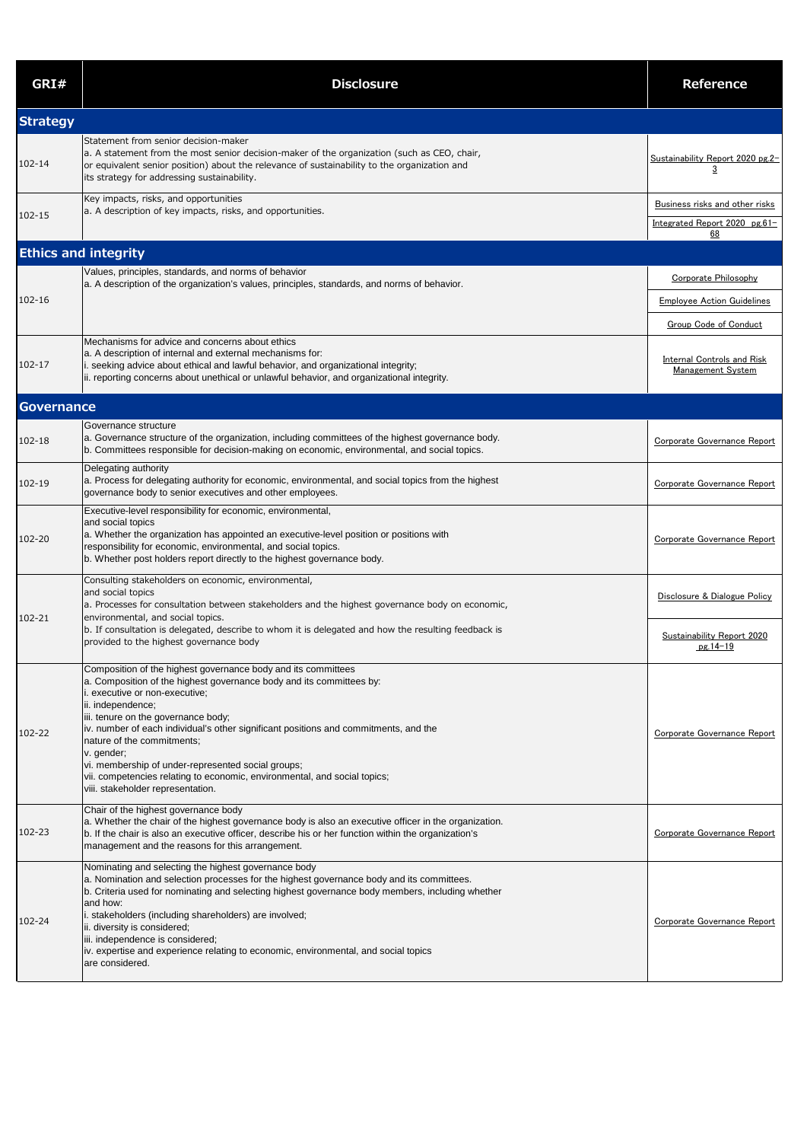|        | Nominating and selecting the highest governance body                                             |                             |
|--------|--------------------------------------------------------------------------------------------------|-----------------------------|
|        | a. Nomination and selection processes for the highest governance body and its committees.        |                             |
|        | b. Criteria used for nominating and selecting highest governance body members, including whether |                             |
|        | land how:                                                                                        |                             |
| 102-24 | i. stakeholders (including shareholders) are involved;                                           | Corporate Governance Report |
|        | ii. diversity is considered;                                                                     |                             |
|        | iii. independence is considered;                                                                 |                             |
|        | iv. expertise and experience relating to economic, environmental, and social topics              |                             |
|        | are considered.                                                                                  |                             |
|        |                                                                                                  |                             |

| GRI#                        | <b>Disclosure</b>                                                                                                                                                                                                                                                                                                                                                                                                                                                                                                                            | <b>Reference</b>                                                                          |
|-----------------------------|----------------------------------------------------------------------------------------------------------------------------------------------------------------------------------------------------------------------------------------------------------------------------------------------------------------------------------------------------------------------------------------------------------------------------------------------------------------------------------------------------------------------------------------------|-------------------------------------------------------------------------------------------|
| <b>Strategy</b>             |                                                                                                                                                                                                                                                                                                                                                                                                                                                                                                                                              |                                                                                           |
| 102-14                      | Statement from senior decision-maker<br>a. A statement from the most senior decision-maker of the organization (such as CEO, chair,<br>or equivalent senior position) about the relevance of sustainability to the organization and<br>its strategy for addressing sustainability.                                                                                                                                                                                                                                                           | Sustainability Report 2020 pg.2-<br>$\overline{3}$                                        |
| 102-15                      | Key impacts, risks, and opportunities<br>a. A description of key impacts, risks, and opportunities.                                                                                                                                                                                                                                                                                                                                                                                                                                          | Business risks and other risks<br>Integrated Report 2020 pg.61-<br>68                     |
| <b>Ethics and integrity</b> |                                                                                                                                                                                                                                                                                                                                                                                                                                                                                                                                              |                                                                                           |
| 102-16                      | Values, principles, standards, and norms of behavior<br>a. A description of the organization's values, principles, standards, and norms of behavior.                                                                                                                                                                                                                                                                                                                                                                                         | Corporate Philosophy<br><b>Employee Action Guidelines</b><br><b>Group Code of Conduct</b> |
| 102-17                      | Mechanisms for advice and concerns about ethics<br>a. A description of internal and external mechanisms for:<br>i. seeking advice about ethical and lawful behavior, and organizational integrity;<br>ii. reporting concerns about unethical or unlawful behavior, and organizational integrity.                                                                                                                                                                                                                                             | <b>Internal Controls and Risk</b><br><b>Management System</b>                             |
| Governance                  |                                                                                                                                                                                                                                                                                                                                                                                                                                                                                                                                              |                                                                                           |
| 102-18                      | Governance structure<br>a. Governance structure of the organization, including committees of the highest governance body.<br>b. Committees responsible for decision-making on economic, environmental, and social topics.                                                                                                                                                                                                                                                                                                                    | Corporate Governance Report                                                               |
| 102-19                      | Delegating authority<br>a. Process for delegating authority for economic, environmental, and social topics from the highest<br>governance body to senior executives and other employees.                                                                                                                                                                                                                                                                                                                                                     | Corporate Governance Report                                                               |
| 102-20                      | Executive-level responsibility for economic, environmental,<br>and social topics<br>a. Whether the organization has appointed an executive-level position or positions with<br>responsibility for economic, environmental, and social topics.<br>b. Whether post holders report directly to the highest governance body.                                                                                                                                                                                                                     | Corporate Governance Report                                                               |
| 102-21                      | Consulting stakeholders on economic, environmental,<br>and social topics<br>a. Processes for consultation between stakeholders and the highest governance body on economic,<br>environmental, and social topics.                                                                                                                                                                                                                                                                                                                             | Disclosure & Dialogue Policy                                                              |
|                             | b. If consultation is delegated, describe to whom it is delegated and how the resulting feedback is<br>provided to the highest governance body                                                                                                                                                                                                                                                                                                                                                                                               | <b>Sustainability Report 2020</b><br>$pg.14-19$                                           |
| 102-22                      | Composition of the highest governance body and its committees<br>a. Composition of the highest governance body and its committees by:<br>executive or non-executive;<br>ii. independence;<br>iii. tenure on the governance body;<br>iv. number of each individual's other significant positions and commitments, and the<br>nature of the commitments;<br>v. gender;<br>vi. membership of under-represented social groups;<br>vii. competencies relating to economic, environmental, and social topics;<br>viii. stakeholder representation. | Corporate Governance Report                                                               |
| 102-23                      | Chair of the highest governance body<br>a. Whether the chair of the highest governance body is also an executive officer in the organization.<br>b. If the chair is also an executive officer, describe his or her function within the organization's<br>management and the reasons for this arrangement.                                                                                                                                                                                                                                    | Corporate Governance Report                                                               |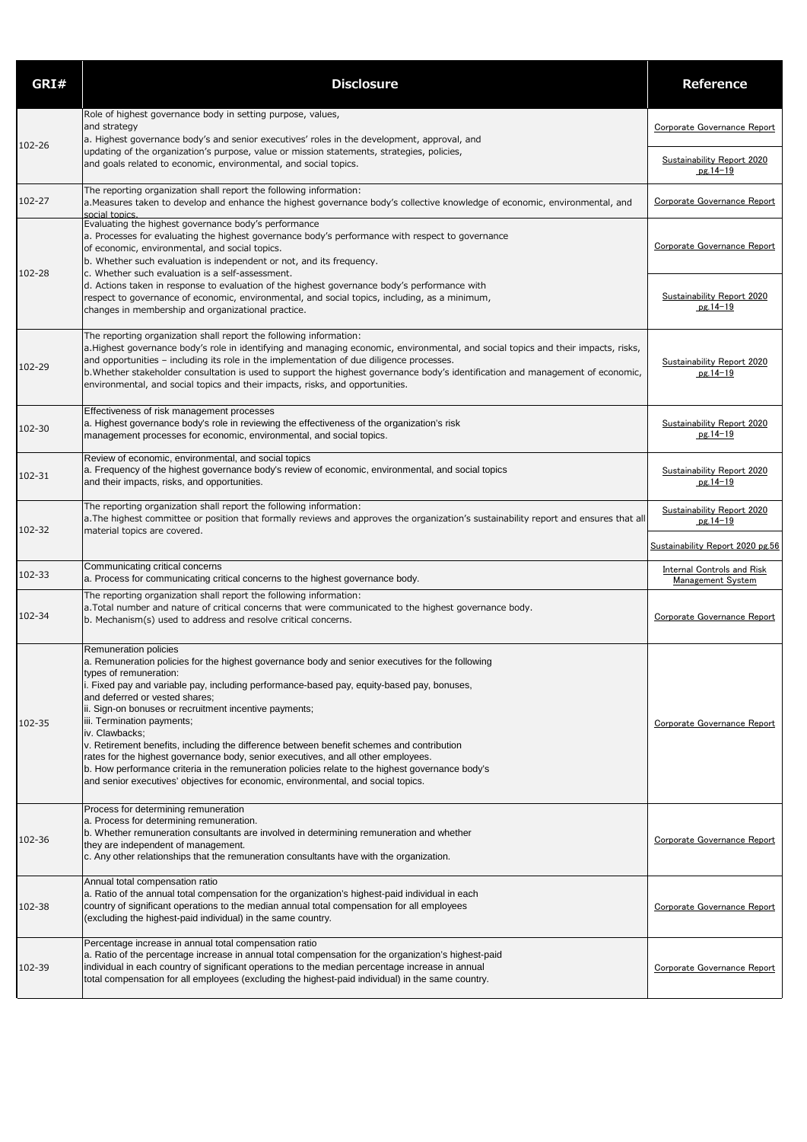| GRI#   | <b>Disclosure</b>                                                                                                                                                                                                                                                                                                                                                                                                                                                                                                                                                                                                                                                                                                                                                        | <b>Reference</b>                                       |
|--------|--------------------------------------------------------------------------------------------------------------------------------------------------------------------------------------------------------------------------------------------------------------------------------------------------------------------------------------------------------------------------------------------------------------------------------------------------------------------------------------------------------------------------------------------------------------------------------------------------------------------------------------------------------------------------------------------------------------------------------------------------------------------------|--------------------------------------------------------|
|        | Role of highest governance body in setting purpose, values,<br>and strategy<br>a. Highest governance body's and senior executives' roles in the development, approval, and                                                                                                                                                                                                                                                                                                                                                                                                                                                                                                                                                                                               | Corporate Governance Report                            |
| 102-26 | updating of the organization's purpose, value or mission statements, strategies, policies,<br>and goals related to economic, environmental, and social topics.                                                                                                                                                                                                                                                                                                                                                                                                                                                                                                                                                                                                           | Sustainability Report 2020<br>$pg.14-19$               |
| 102-27 | The reporting organization shall report the following information:<br>a. Measures taken to develop and enhance the highest governance body's collective knowledge of economic, environmental, and<br>social topics                                                                                                                                                                                                                                                                                                                                                                                                                                                                                                                                                       | Corporate Governance Report                            |
| 102-28 | Evaluating the highest governance body's performance<br>a. Processes for evaluating the highest governance body's performance with respect to governance<br>of economic, environmental, and social topics.<br>b. Whether such evaluation is independent or not, and its frequency.<br>c. Whether such evaluation is a self-assessment.<br>d. Actions taken in response to evaluation of the highest governance body's performance with                                                                                                                                                                                                                                                                                                                                   | Corporate Governance Report                            |
|        | respect to governance of economic, environmental, and social topics, including, as a minimum,<br>changes in membership and organizational practice.                                                                                                                                                                                                                                                                                                                                                                                                                                                                                                                                                                                                                      | Sustainability Report 2020<br>$pg.14-19$               |
| 102-29 | The reporting organization shall report the following information:<br>a. Highest governance body's role in identifying and managing economic, environmental, and social topics and their impacts, risks,<br>and opportunities - including its role in the implementation of due diligence processes.<br>b. Whether stakeholder consultation is used to support the highest governance body's identification and management of economic,<br>environmental, and social topics and their impacts, risks, and opportunities.                                                                                                                                                                                                                                                 | <b>Sustainability Report 2020</b><br>$pg.14-19$        |
| 102-30 | Effectiveness of risk management processes<br>a. Highest governance body's role in reviewing the effectiveness of the organization's risk<br>management processes for economic, environmental, and social topics.                                                                                                                                                                                                                                                                                                                                                                                                                                                                                                                                                        | <b>Sustainability Report 2020</b><br>$pg.14-19$        |
| 102-31 | Review of economic, environmental, and social topics<br>a. Frequency of the highest governance body's review of economic, environmental, and social topics<br>and their impacts, risks, and opportunities.                                                                                                                                                                                                                                                                                                                                                                                                                                                                                                                                                               | <b>Sustainability Report 2020</b><br>$pg.14-19$        |
| 102-32 | The reporting organization shall report the following information:<br>a. The highest committee or position that formally reviews and approves the organization's sustainability report and ensures that all<br>material topics are covered.                                                                                                                                                                                                                                                                                                                                                                                                                                                                                                                              | <b>Sustainability Report 2020</b><br>$pg.14-19$        |
|        |                                                                                                                                                                                                                                                                                                                                                                                                                                                                                                                                                                                                                                                                                                                                                                          | Sustainability Report 2020 pg.56                       |
| 102-33 | Communicating critical concerns<br>a. Process for communicating critical concerns to the highest governance body.                                                                                                                                                                                                                                                                                                                                                                                                                                                                                                                                                                                                                                                        | <b>Internal Controls and Risk</b><br>Management System |
| 102-34 | The reporting organization shall report the following information:<br>a. Total number and nature of critical concerns that were communicated to the highest governance body.<br>b. Mechanism(s) used to address and resolve critical concerns.                                                                                                                                                                                                                                                                                                                                                                                                                                                                                                                           | Corporate Governance Report                            |
| 102-35 | Remuneration policies<br>a. Remuneration policies for the highest governance body and senior executives for the following<br>types of remuneration:<br>. Fixed pay and variable pay, including performance-based pay, equity-based pay, bonuses,<br>and deferred or vested shares;<br>ii. Sign-on bonuses or recruitment incentive payments;<br>iii. Termination payments;<br>iv. Clawbacks;<br>v. Retirement benefits, including the difference between benefit schemes and contribution<br>rates for the highest governance body, senior executives, and all other employees.<br>b. How performance criteria in the remuneration policies relate to the highest governance body's<br>and senior executives' objectives for economic, environmental, and social topics. | Corporate Governance Report                            |
| 102-36 | Process for determining remuneration<br>a. Process for determining remuneration.<br>b. Whether remuneration consultants are involved in determining remuneration and whether<br>they are independent of management.<br>$\,$ c. Any other relationships that the remuneration consultants have with the organization.                                                                                                                                                                                                                                                                                                                                                                                                                                                     | Corporate Governance Report                            |
| 102-38 | Annual total compensation ratio<br>a. Ratio of the annual total compensation for the organization's highest-paid individual in each<br>country of significant operations to the median annual total compensation for all employees<br>(excluding the highest-paid individual) in the same country.                                                                                                                                                                                                                                                                                                                                                                                                                                                                       | Corporate Governance Report                            |
| 102-39 | Percentage increase in annual total compensation ratio<br>a. Ratio of the percentage increase in annual total compensation for the organization's highest-paid<br>individual in each country of significant operations to the median percentage increase in annual<br>total compensation for all employees (excluding the highest-paid individual) in the same country.                                                                                                                                                                                                                                                                                                                                                                                                  | Corporate Governance Report                            |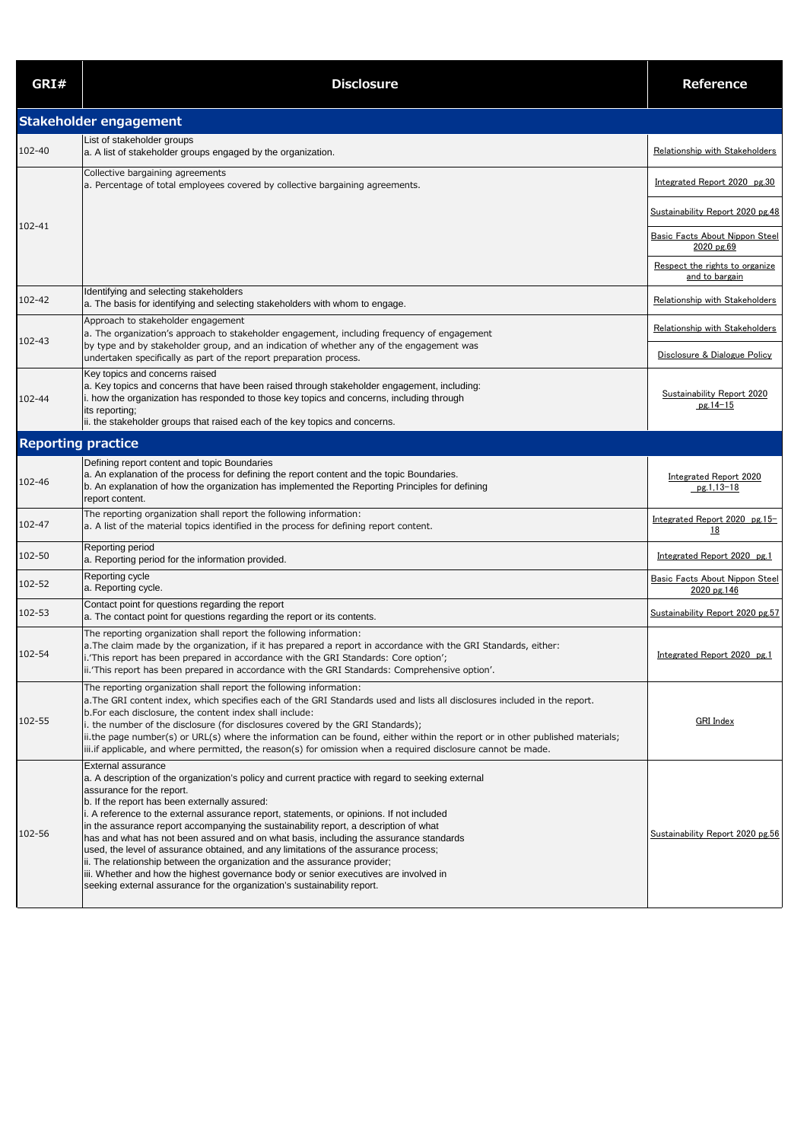| GRI#                      | <b>Disclosure</b>                                                                                                                                                                                                                                                                                                                                                                                                                                                                                                                                                                                                                                                                                                                                                                                                                | Reference                                           |
|---------------------------|----------------------------------------------------------------------------------------------------------------------------------------------------------------------------------------------------------------------------------------------------------------------------------------------------------------------------------------------------------------------------------------------------------------------------------------------------------------------------------------------------------------------------------------------------------------------------------------------------------------------------------------------------------------------------------------------------------------------------------------------------------------------------------------------------------------------------------|-----------------------------------------------------|
|                           | Stakeholder engagement                                                                                                                                                                                                                                                                                                                                                                                                                                                                                                                                                                                                                                                                                                                                                                                                           |                                                     |
| 102-40                    | List of stakeholder groups<br>a. A list of stakeholder groups engaged by the organization.                                                                                                                                                                                                                                                                                                                                                                                                                                                                                                                                                                                                                                                                                                                                       | Relationship with Stakeholders                      |
|                           | Collective bargaining agreements<br>a. Percentage of total employees covered by collective bargaining agreements.                                                                                                                                                                                                                                                                                                                                                                                                                                                                                                                                                                                                                                                                                                                | Integrated Report 2020 pg.30                        |
|                           |                                                                                                                                                                                                                                                                                                                                                                                                                                                                                                                                                                                                                                                                                                                                                                                                                                  | Sustainability Report 2020 pg.48                    |
| 102-41                    |                                                                                                                                                                                                                                                                                                                                                                                                                                                                                                                                                                                                                                                                                                                                                                                                                                  | <b>Basic Facts About Nippon Steel</b><br>2020 pg.69 |
|                           |                                                                                                                                                                                                                                                                                                                                                                                                                                                                                                                                                                                                                                                                                                                                                                                                                                  | Respect the rights to organize<br>and to bargain    |
| 102-42                    | Identifying and selecting stakeholders<br>a. The basis for identifying and selecting stakeholders with whom to engage.                                                                                                                                                                                                                                                                                                                                                                                                                                                                                                                                                                                                                                                                                                           | Relationship with Stakeholders                      |
| 102-43                    | Approach to stakeholder engagement<br>a. The organization's approach to stakeholder engagement, including frequency of engagement                                                                                                                                                                                                                                                                                                                                                                                                                                                                                                                                                                                                                                                                                                | Relationship with Stakeholders                      |
|                           | by type and by stakeholder group, and an indication of whether any of the engagement was<br>undertaken specifically as part of the report preparation process.                                                                                                                                                                                                                                                                                                                                                                                                                                                                                                                                                                                                                                                                   | Disclosure & Dialogue Policy                        |
| 102-44                    | Key topics and concerns raised<br>a. Key topics and concerns that have been raised through stakeholder engagement, including:<br>i. how the organization has responded to those key topics and concerns, including through<br>its reporting;<br>ii. the stakeholder groups that raised each of the key topics and concerns.                                                                                                                                                                                                                                                                                                                                                                                                                                                                                                      | <b>Sustainability Report 2020</b><br>$pg.14-15$     |
| <b>Reporting practice</b> |                                                                                                                                                                                                                                                                                                                                                                                                                                                                                                                                                                                                                                                                                                                                                                                                                                  |                                                     |
| 102-46                    | Defining report content and topic Boundaries<br>a. An explanation of the process for defining the report content and the topic Boundaries.<br>b. An explanation of how the organization has implemented the Reporting Principles for defining<br>report content.                                                                                                                                                                                                                                                                                                                                                                                                                                                                                                                                                                 | <b>Integrated Report 2020</b><br>pg.1,13-18         |
| 102-47                    | The reporting organization shall report the following information:<br>a. A list of the material topics identified in the process for defining report content.                                                                                                                                                                                                                                                                                                                                                                                                                                                                                                                                                                                                                                                                    | Integrated Report 2020 pg.15-<br><u>18</u>          |
| 102-50                    | Reporting period<br>a. Reporting period for the information provided.                                                                                                                                                                                                                                                                                                                                                                                                                                                                                                                                                                                                                                                                                                                                                            | Integrated Report 2020 pg.1                         |
| 102-52                    | Reporting cycle<br>a. Reporting cycle.                                                                                                                                                                                                                                                                                                                                                                                                                                                                                                                                                                                                                                                                                                                                                                                           | Basic Facts About Nippon Steel<br>2020 pg.146       |
| 102-53                    | Contact point for questions regarding the report<br>a. The contact point for questions regarding the report or its contents.                                                                                                                                                                                                                                                                                                                                                                                                                                                                                                                                                                                                                                                                                                     | Sustainability Report 2020 pg.57                    |
| 102-54                    | The reporting organization shall report the following information:<br>a. The claim made by the organization, if it has prepared a report in accordance with the GRI Standards, either:<br>i.'This report has been prepared in accordance with the GRI Standards: Core option';<br>ii.'This report has been prepared in accordance with the GRI Standards: Comprehensive option'.                                                                                                                                                                                                                                                                                                                                                                                                                                                 | Integrated Report 2020 pg.1                         |
| 102-55                    | The reporting organization shall report the following information:<br>a. The GRI content index, which specifies each of the GRI Standards used and lists all disclosures included in the report.<br>b. For each disclosure, the content index shall include:<br>the number of the disclosure (for disclosures covered by the GRI Standards);<br>ii.the page number(s) or URL(s) where the information can be found, either within the report or in other published materials;<br>iii.if applicable, and where permitted, the reason(s) for omission when a required disclosure cannot be made.                                                                                                                                                                                                                                   | <b>GRI</b> Index                                    |
| 102-56                    | External assurance<br>a. A description of the organization's policy and current practice with regard to seeking external<br>assurance for the report.<br>b. If the report has been externally assured:<br>i. A reference to the external assurance report, statements, or opinions. If not included<br>in the assurance report accompanying the sustainability report, a description of what<br>has and what has not been assured and on what basis, including the assurance standards<br>used, the level of assurance obtained, and any limitations of the assurance process;<br>ii. The relationship between the organization and the assurance provider;<br>iii. Whether and how the highest governance body or senior executives are involved in<br>seeking external assurance for the organization's sustainability report. | Sustainability Report 2020 pg.56                    |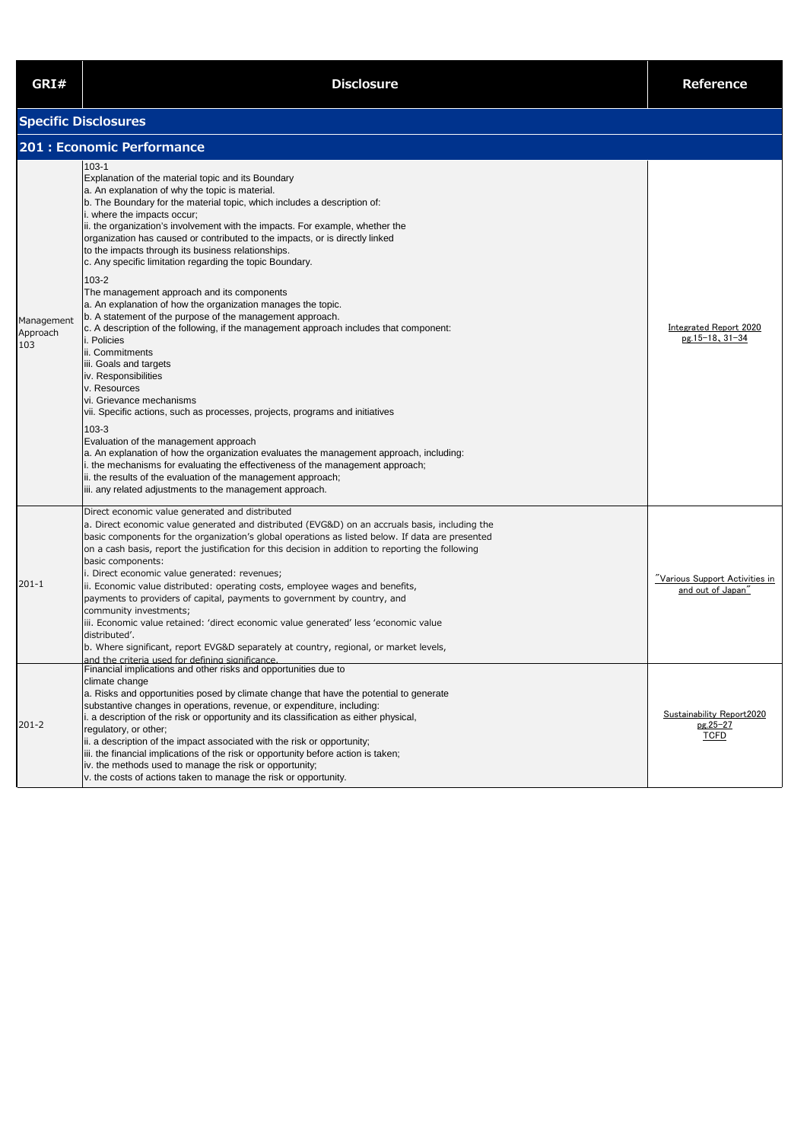| GRI#                          | <b>Disclosure</b>                                                                                                                                                                                                                                                                                                                                                                                                                                                                                                                                                                                                                                                                                                                                                                                                                                                                                                                                                                                                                                                        | <b>Reference</b>                                     |
|-------------------------------|--------------------------------------------------------------------------------------------------------------------------------------------------------------------------------------------------------------------------------------------------------------------------------------------------------------------------------------------------------------------------------------------------------------------------------------------------------------------------------------------------------------------------------------------------------------------------------------------------------------------------------------------------------------------------------------------------------------------------------------------------------------------------------------------------------------------------------------------------------------------------------------------------------------------------------------------------------------------------------------------------------------------------------------------------------------------------|------------------------------------------------------|
|                               | <b>Specific Disclosures</b>                                                                                                                                                                                                                                                                                                                                                                                                                                                                                                                                                                                                                                                                                                                                                                                                                                                                                                                                                                                                                                              |                                                      |
|                               | <b>201: Economic Performance</b>                                                                                                                                                                                                                                                                                                                                                                                                                                                                                                                                                                                                                                                                                                                                                                                                                                                                                                                                                                                                                                         |                                                      |
| Management<br>Approach<br>103 | $103 - 1$<br>Explanation of the material topic and its Boundary<br>a. An explanation of why the topic is material.<br>b. The Boundary for the material topic, which includes a description of:<br>i. where the impacts occur;<br>ii. the organization's involvement with the impacts. For example, whether the<br>organization has caused or contributed to the impacts, or is directly linked<br>to the impacts through its business relationships.<br>c. Any specific limitation regarding the topic Boundary.<br>$103 - 2$<br>The management approach and its components<br>a. An explanation of how the organization manages the topic.<br>b. A statement of the purpose of the management approach.<br>c. A description of the following, if the management approach includes that component:<br>i. Policies<br>ii. Commitments<br>iii. Goals and targets<br>iv. Responsibilities<br>v. Resources<br>vi. Grievance mechanisms<br>vii. Specific actions, such as processes, projects, programs and initiatives<br>$103 - 3$<br>Evaluation of the management approach | Integrated Report 2020<br>pg.15-18, 31-34            |
| $201 - 1$                     | a. An explanation of how the organization evaluates the management approach, including:<br>i. the mechanisms for evaluating the effectiveness of the management approach;<br>ii. the results of the evaluation of the management approach;<br>iii. any related adjustments to the management approach.<br>Direct economic value generated and distributed<br>a. Direct economic value generated and distributed (EVG&D) on an accruals basis, including the<br>basic components for the organization's global operations as listed below. If data are presented<br>on a cash basis, report the justification for this decision in addition to reporting the following<br>basic components:<br>i. Direct economic value generated: revenues;<br>ii. Economic value distributed: operating costs, employee wages and benefits,<br>payments to providers of capital, payments to government by country, and<br>community investments;<br>iii. Economic value retained: 'direct economic value generated' less 'economic value<br>distributed'.                              | "Various Support Activities in<br>and out of Japan"  |
| $201 - 2$                     | b. Where significant, report EVG&D separately at country, regional, or market levels,<br>and the criteria used for defining significance.<br>Financial implications and other risks and opportunities due to<br>climate change<br>a. Risks and opportunities posed by climate change that have the potential to generate<br>substantive changes in operations, revenue, or expenditure, including:<br>i. a description of the risk or opportunity and its classification as either physical,<br>regulatory, or other;<br>ii. a description of the impact associated with the risk or opportunity;<br>iii. the financial implications of the risk or opportunity before action is taken;<br>iv. the methods used to manage the risk or opportunity;<br>v. the costs of actions taken to manage the risk or opportunity.                                                                                                                                                                                                                                                   | Sustainability Report2020<br>pg.25-27<br><b>TCFD</b> |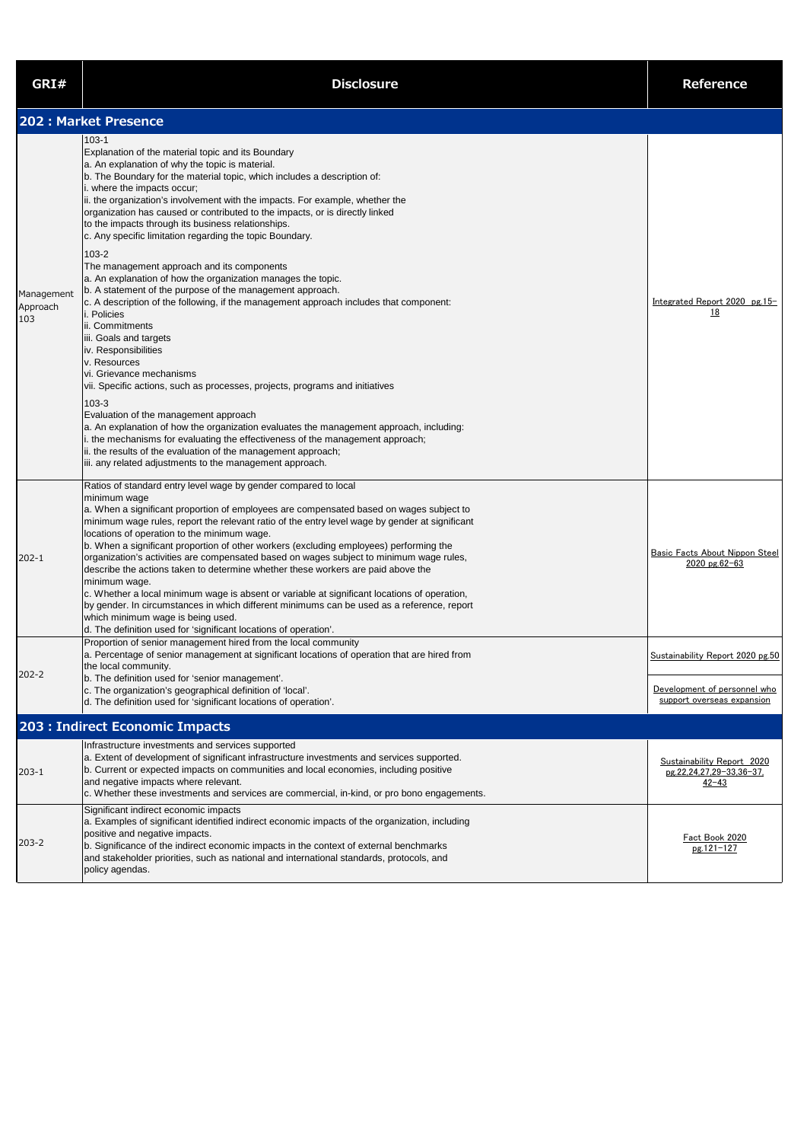| GRI#                          | <b>Disclosure</b>                                                                                                                                                                                                                                                                                                                                                                                                                                                                                                                                                                                                                                                                                                                                                                                                                                                                                                                  | <b>Reference</b>                                                                               |
|-------------------------------|------------------------------------------------------------------------------------------------------------------------------------------------------------------------------------------------------------------------------------------------------------------------------------------------------------------------------------------------------------------------------------------------------------------------------------------------------------------------------------------------------------------------------------------------------------------------------------------------------------------------------------------------------------------------------------------------------------------------------------------------------------------------------------------------------------------------------------------------------------------------------------------------------------------------------------|------------------------------------------------------------------------------------------------|
|                               | 202 : Market Presence                                                                                                                                                                                                                                                                                                                                                                                                                                                                                                                                                                                                                                                                                                                                                                                                                                                                                                              |                                                                                                |
| Management<br>Approach<br>103 | $103 - 1$<br>Explanation of the material topic and its Boundary<br>a. An explanation of why the topic is material.<br>b. The Boundary for the material topic, which includes a description of:<br>i. where the impacts occur;<br>ii. the organization's involvement with the impacts. For example, whether the<br>organization has caused or contributed to the impacts, or is directly linked<br>to the impacts through its business relationships.<br>c. Any specific limitation regarding the topic Boundary.<br>$103 - 2$<br>The management approach and its components<br>a. An explanation of how the organization manages the topic.<br>b. A statement of the purpose of the management approach.<br>c. A description of the following, if the management approach includes that component:<br>i. Policies<br>ii. Commitments<br>iii. Goals and targets<br>iv. Responsibilities<br>v. Resources<br>vi. Grievance mechanisms | Integrated Report 2020 pg.15-<br><u>18</u>                                                     |
|                               | vii. Specific actions, such as processes, projects, programs and initiatives<br>$103 - 3$<br>Evaluation of the management approach<br>a. An explanation of how the organization evaluates the management approach, including:<br>i. the mechanisms for evaluating the effectiveness of the management approach;<br>ii. the results of the evaluation of the management approach;<br>iii. any related adjustments to the management approach.                                                                                                                                                                                                                                                                                                                                                                                                                                                                                       |                                                                                                |
| $202 - 1$                     | Ratios of standard entry level wage by gender compared to local<br>minimum wage<br>a. When a significant proportion of employees are compensated based on wages subject to<br>minimum wage rules, report the relevant ratio of the entry level wage by gender at significant<br>locations of operation to the minimum wage.<br>b. When a significant proportion of other workers (excluding employees) performing the<br>organization's activities are compensated based on wages subject to minimum wage rules,<br>describe the actions taken to determine whether these workers are paid above the<br>minimum wage.<br>c. Whether a local minimum wage is absent or variable at significant locations of operation,<br>by gender. In circumstances in which different minimums can be used as a reference, report<br>which minimum wage is being used.<br>d. The definition used for 'significant locations of operation'.       | <b>Basic Facts About Nippon Steel</b><br>2020 pg.62-63                                         |
| $202 - 2$                     | Proportion of senior management hired from the local community<br>a. Percentage of senior management at significant locations of operation that are hired from<br>the local community.<br>b. The definition used for 'senior management'.<br>c. The organization's geographical definition of 'local'.<br>d. The definition used for 'significant locations of operation'.                                                                                                                                                                                                                                                                                                                                                                                                                                                                                                                                                         | Sustainability Report 2020 pg.50<br>Development of personnel who<br>support overseas expansion |
|                               | 203 : Indirect Economic Impacts                                                                                                                                                                                                                                                                                                                                                                                                                                                                                                                                                                                                                                                                                                                                                                                                                                                                                                    |                                                                                                |
| $203 - 1$                     | Infrastructure investments and services supported<br>a. Extent of development of significant infrastructure investments and services supported.<br>b. Current or expected impacts on communities and local economies, including positive<br>and negative impacts where relevant.<br>c. Whether these investments and services are commercial, in-kind, or pro bono engagements.                                                                                                                                                                                                                                                                                                                                                                                                                                                                                                                                                    | Sustainability Report 2020<br>pg.22,24,27,29-33,36-37,<br>$42 - 43$                            |
| $203 - 2$                     | Significant indirect economic impacts<br>a. Examples of significant identified indirect economic impacts of the organization, including<br>positive and negative impacts.<br>b. Significance of the indirect economic impacts in the context of external benchmarks<br>and stakeholder priorities, such as national and international standards, protocols, and                                                                                                                                                                                                                                                                                                                                                                                                                                                                                                                                                                    | Fact Book 2020<br>pg.121-127                                                                   |

policy agendas.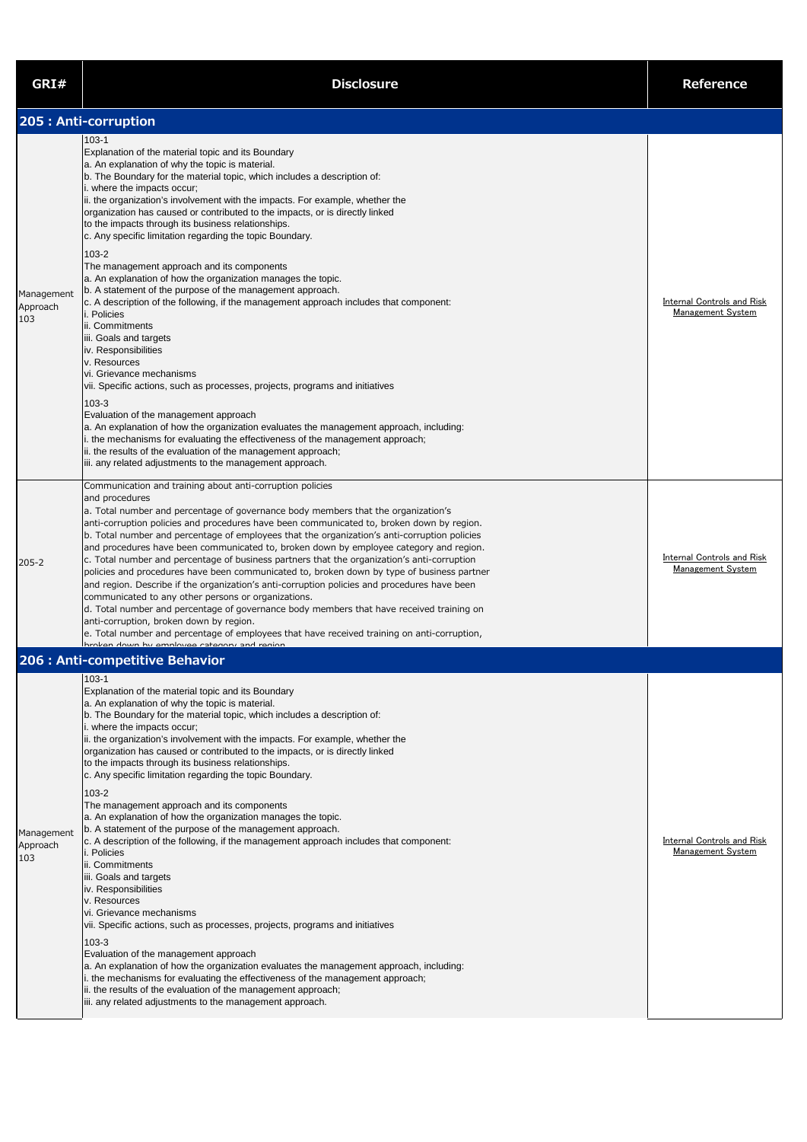| GRI#                          | <b>Disclosure</b>                                                                                                                                                                                                                                                                                                                                                                                                                                                                                                                                                                                                                                                                                                                                                                                                                                                                                                                                                                                                                   | <b>Reference</b>                                              |
|-------------------------------|-------------------------------------------------------------------------------------------------------------------------------------------------------------------------------------------------------------------------------------------------------------------------------------------------------------------------------------------------------------------------------------------------------------------------------------------------------------------------------------------------------------------------------------------------------------------------------------------------------------------------------------------------------------------------------------------------------------------------------------------------------------------------------------------------------------------------------------------------------------------------------------------------------------------------------------------------------------------------------------------------------------------------------------|---------------------------------------------------------------|
|                               | 205 : Anti-corruption                                                                                                                                                                                                                                                                                                                                                                                                                                                                                                                                                                                                                                                                                                                                                                                                                                                                                                                                                                                                               |                                                               |
|                               | $103 - 1$<br>Explanation of the material topic and its Boundary<br>a. An explanation of why the topic is material.<br>b. The Boundary for the material topic, which includes a description of:<br>i. where the impacts occur;<br>ii. the organization's involvement with the impacts. For example, whether the<br>organization has caused or contributed to the impacts, or is directly linked<br>to the impacts through its business relationships.<br>c. Any specific limitation regarding the topic Boundary.                                                                                                                                                                                                                                                                                                                                                                                                                                                                                                                    |                                                               |
| Management<br>Approach<br>103 | $103 - 2$<br>The management approach and its components<br>a. An explanation of how the organization manages the topic.<br>b. A statement of the purpose of the management approach.<br>c. A description of the following, if the management approach includes that component:<br>i. Policies<br>ii. Commitments<br>iii. Goals and targets<br>iv. Responsibilities<br>v. Resources<br>vi. Grievance mechanisms<br>vii. Specific actions, such as processes, projects, programs and initiatives<br>$103 - 3$                                                                                                                                                                                                                                                                                                                                                                                                                                                                                                                         | <b>Internal Controls and Risk</b><br><b>Management System</b> |
|                               | Evaluation of the management approach<br>a. An explanation of how the organization evaluates the management approach, including:<br>i. the mechanisms for evaluating the effectiveness of the management approach;<br>ii. the results of the evaluation of the management approach;<br>iii. any related adjustments to the management approach.<br>Communication and training about anti-corruption policies                                                                                                                                                                                                                                                                                                                                                                                                                                                                                                                                                                                                                        |                                                               |
| $205 - 2$                     | and procedures<br>a. Total number and percentage of governance body members that the organization's<br>anti-corruption policies and procedures have been communicated to, broken down by region.<br>b. Total number and percentage of employees that the organization's anti-corruption policies<br>and procedures have been communicated to, broken down by employee category and region.<br>c. Total number and percentage of business partners that the organization's anti-corruption<br>policies and procedures have been communicated to, broken down by type of business partner<br>and region. Describe if the organization's anti-corruption policies and procedures have been<br>communicated to any other persons or organizations.<br>d. Total number and percentage of governance body members that have received training on<br>anti-corruption, broken down by region.<br>e. Total number and percentage of employees that have received training on anti-corruption,<br>hrokan down hy amployaa catagony and rogion | Internal Controls and Risk<br><b>Management System</b>        |
|                               | 206 : Anti-competitive Behavior                                                                                                                                                                                                                                                                                                                                                                                                                                                                                                                                                                                                                                                                                                                                                                                                                                                                                                                                                                                                     |                                                               |
|                               | $103 - 1$<br>Explanation of the material topic and its Boundary<br>a. An explanation of why the topic is material.<br>b. The Boundary for the material topic, which includes a description of:<br>i. where the impacts occur;<br>ii. the organization's involvement with the impacts. For example, whether the<br>organization has caused or contributed to the impacts, or is directly linked<br>to the impacts through its business relationships.<br>c. Any specific limitation regarding the topic Boundary.<br>$103 - 2$                                                                                                                                                                                                                                                                                                                                                                                                                                                                                                       |                                                               |
| Management<br>Approach<br>103 | The management approach and its components<br>a. An explanation of how the organization manages the topic.<br>b. A statement of the purpose of the management approach.<br>c. A description of the following, if the management approach includes that component:<br><i>i.</i> Policies                                                                                                                                                                                                                                                                                                                                                                                                                                                                                                                                                                                                                                                                                                                                             | <b>Internal Controls and Risk</b><br><b>Management System</b> |

ii. Commitments

iii. Goals and targets

iv. Responsibilities

v. Resources

vi. Grievance mechanisms

vii. Specific actions, such as processes, projects, programs and initiatives

103-3

Evaluation of the management approach

a. An explanation of how the organization evaluates the management approach, including:

i. the mechanisms for evaluating the effectiveness of the management approach;

ii. the results of the evaluation of the management approach;

iii. any related adjustments to the management approach.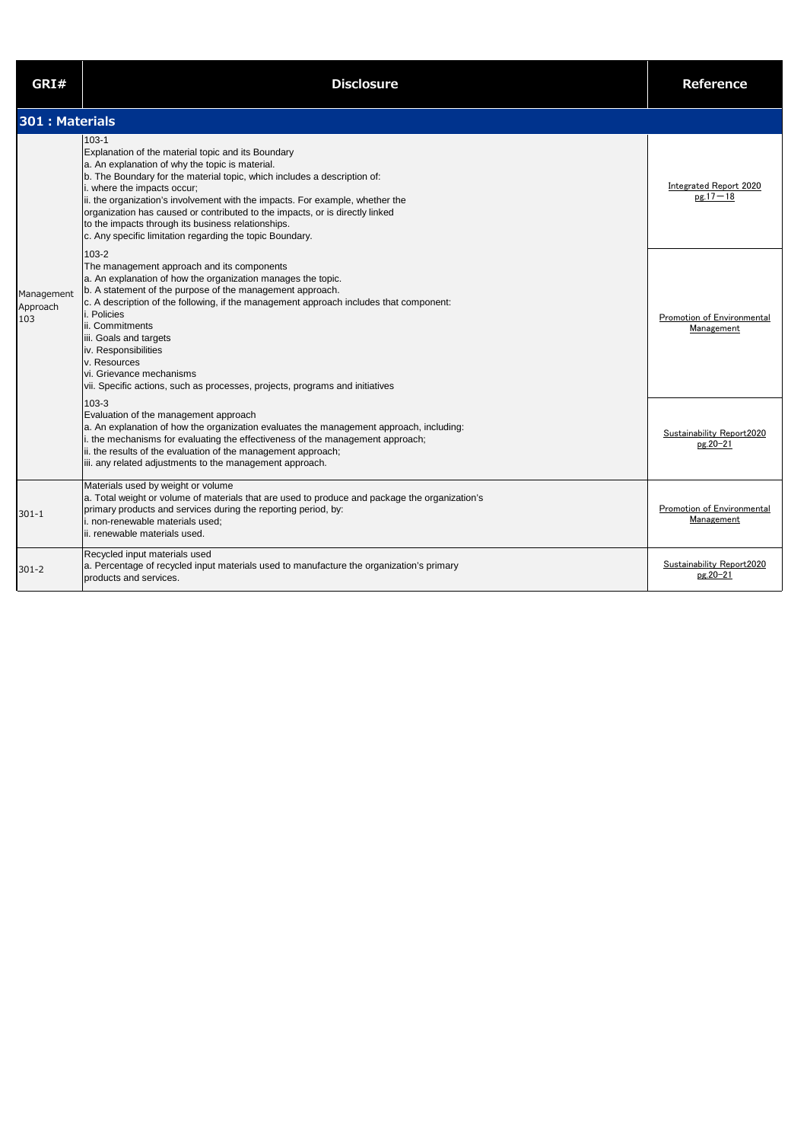| GRI#                          | <b>Disclosure</b>                                                                                                                                                                                                                                                                                                                                                                                                                                                                                                | <b>Reference</b>                                |
|-------------------------------|------------------------------------------------------------------------------------------------------------------------------------------------------------------------------------------------------------------------------------------------------------------------------------------------------------------------------------------------------------------------------------------------------------------------------------------------------------------------------------------------------------------|-------------------------------------------------|
| 301 : Materials               |                                                                                                                                                                                                                                                                                                                                                                                                                                                                                                                  |                                                 |
|                               | $103 - 1$<br>Explanation of the material topic and its Boundary<br>a. An explanation of why the topic is material.<br>b. The Boundary for the material topic, which includes a description of:<br>i. where the impacts occur;<br>ii. the organization's involvement with the impacts. For example, whether the<br>organization has caused or contributed to the impacts, or is directly linked<br>to the impacts through its business relationships.<br>c. Any specific limitation regarding the topic Boundary. | <b>Integrated Report 2020</b><br>$pg.17 - 18$   |
| Management<br>Approach<br>103 | 103-2<br>The management approach and its components<br>a. An explanation of how the organization manages the topic.<br>b. A statement of the purpose of the management approach.<br>c. A description of the following, if the management approach includes that component:<br>i. Policies<br>ii. Commitments<br>iii. Goals and targets<br>iv. Responsibilities<br>v. Resources<br>vi. Grievance mechanisms<br>vii. Specific actions, such as processes, projects, programs and initiatives                       | Promotion of Environmental<br><b>Management</b> |
|                               | $103 - 3$<br>Evaluation of the management approach<br>a. An explanation of how the organization evaluates the management approach, including:<br>i. the mechanisms for evaluating the effectiveness of the management approach;<br>ii. the results of the evaluation of the management approach;<br>iii. any related adjustments to the management approach.                                                                                                                                                     | Sustainability Report2020<br>pg.20-21           |
| $301 - 1$                     | Materials used by weight or volume<br>a. Total weight or volume of materials that are used to produce and package the organization's<br>primary products and services during the reporting period, by:<br>i. non-renewable materials used:<br>ii. renewable materials used.                                                                                                                                                                                                                                      | Promotion of Environmental<br>Management        |
| $301 - 2$                     | Recycled input materials used<br>a. Percentage of recycled input materials used to manufacture the organization's primary<br>products and services.                                                                                                                                                                                                                                                                                                                                                              | Sustainability Report2020<br>pg.20-21           |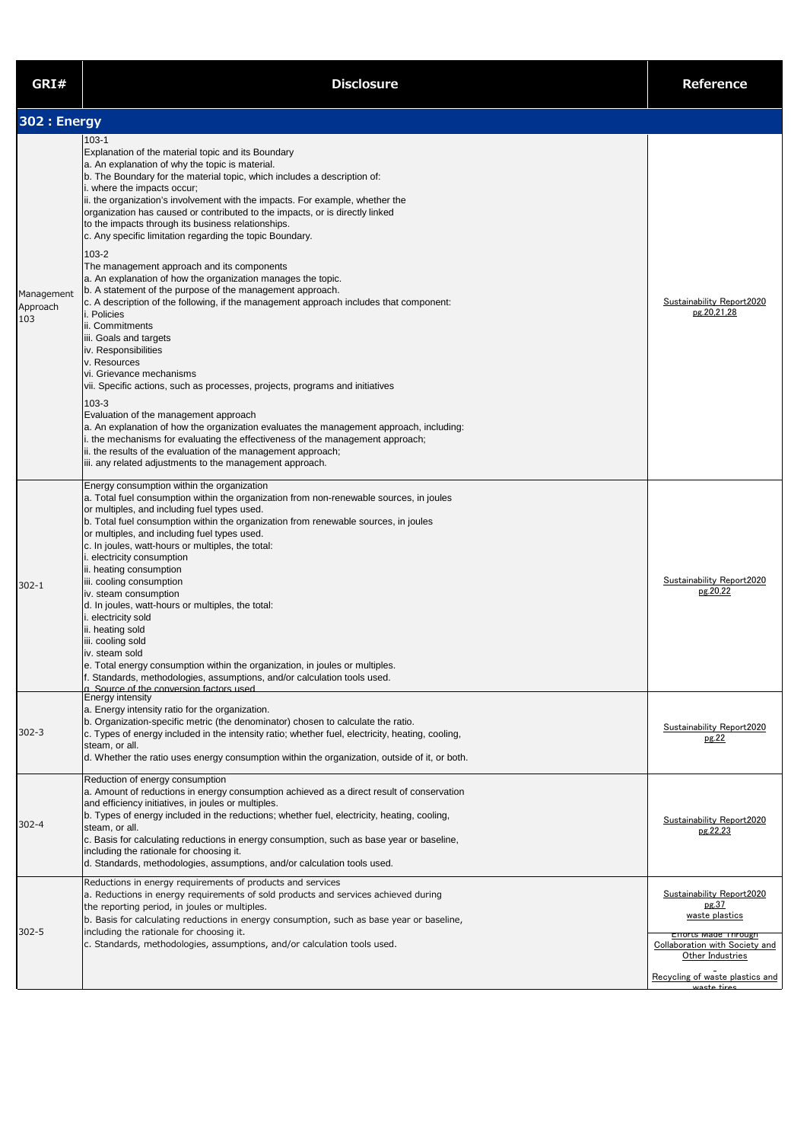| GRI#                          | <b>Disclosure</b>                                                                                                                                                                                                                                                                                                                                                                                                                                                                                                                                                                                                                                                                                                                                                                                                                                                                                                                                                                                                                                                                                                                                                                                                                                                                                                                                                          | <b>Reference</b>                                                                                                                                                                            |
|-------------------------------|----------------------------------------------------------------------------------------------------------------------------------------------------------------------------------------------------------------------------------------------------------------------------------------------------------------------------------------------------------------------------------------------------------------------------------------------------------------------------------------------------------------------------------------------------------------------------------------------------------------------------------------------------------------------------------------------------------------------------------------------------------------------------------------------------------------------------------------------------------------------------------------------------------------------------------------------------------------------------------------------------------------------------------------------------------------------------------------------------------------------------------------------------------------------------------------------------------------------------------------------------------------------------------------------------------------------------------------------------------------------------|---------------------------------------------------------------------------------------------------------------------------------------------------------------------------------------------|
| 302 : Energy                  |                                                                                                                                                                                                                                                                                                                                                                                                                                                                                                                                                                                                                                                                                                                                                                                                                                                                                                                                                                                                                                                                                                                                                                                                                                                                                                                                                                            |                                                                                                                                                                                             |
| Management<br>Approach<br>103 | $103 - 1$<br>Explanation of the material topic and its Boundary<br>a. An explanation of why the topic is material.<br>b. The Boundary for the material topic, which includes a description of:<br>i. where the impacts occur;<br>ii. the organization's involvement with the impacts. For example, whether the<br>organization has caused or contributed to the impacts, or is directly linked<br>to the impacts through its business relationships.<br>c. Any specific limitation regarding the topic Boundary.<br>103-2<br>The management approach and its components<br>a. An explanation of how the organization manages the topic.<br>b. A statement of the purpose of the management approach.<br>c. A description of the following, if the management approach includes that component:<br>i. Policies<br>ii. Commitments<br>iii. Goals and targets<br>iv. Responsibilities<br>v. Resources<br>vi. Grievance mechanisms<br>vii. Specific actions, such as processes, projects, programs and initiatives<br>103-3<br>Evaluation of the management approach<br>a. An explanation of how the organization evaluates the management approach, including:<br>i. the mechanisms for evaluating the effectiveness of the management approach;<br>ii. the results of the evaluation of the management approach;<br>iii. any related adjustments to the management approach. | Sustainability Report2020<br>pg.20,21,28                                                                                                                                                    |
| $302 - 1$                     | Energy consumption within the organization<br>a. Total fuel consumption within the organization from non-renewable sources, in joules<br>or multiples, and including fuel types used.<br>b. Total fuel consumption within the organization from renewable sources, in joules<br>or multiples, and including fuel types used.<br>c. In joules, watt-hours or multiples, the total:<br>i. electricity consumption<br>ii. heating consumption<br>iii. cooling consumption<br>iv. steam consumption<br>d. In joules, watt-hours or multiples, the total:<br>i. electricity sold<br>ii. heating sold<br>iii. cooling sold<br>iv. steam sold<br>e. Total energy consumption within the organization, in joules or multiples.<br>f. Standards, methodologies, assumptions, and/or calculation tools used.<br>a Source of the conversion factors used                                                                                                                                                                                                                                                                                                                                                                                                                                                                                                                              | Sustainability Report2020<br>pg.20,22                                                                                                                                                       |
| $302 - 3$                     | <b>Energy intensity</b><br>a. Energy intensity ratio for the organization.<br>b. Organization-specific metric (the denominator) chosen to calculate the ratio.<br>c. Types of energy included in the intensity ratio; whether fuel, electricity, heating, cooling,<br>steam, or all.<br>d. Whether the ratio uses energy consumption within the organization, outside of it, or both.                                                                                                                                                                                                                                                                                                                                                                                                                                                                                                                                                                                                                                                                                                                                                                                                                                                                                                                                                                                      | Sustainability Report2020<br>pg.22                                                                                                                                                          |
| $302 - 4$                     | Reduction of energy consumption<br>a. Amount of reductions in energy consumption achieved as a direct result of conservation<br>and efficiency initiatives, in joules or multiples.<br>b. Types of energy included in the reductions; whether fuel, electricity, heating, cooling,<br>steam, or all.<br>$ c$ . Basis for calculating reductions in energy consumption, such as base year or baseline,<br>including the rationale for choosing it.<br>d. Standards, methodologies, assumptions, and/or calculation tools used.                                                                                                                                                                                                                                                                                                                                                                                                                                                                                                                                                                                                                                                                                                                                                                                                                                              | Sustainability Report2020<br>pg.22,23                                                                                                                                                       |
| $302 - 5$                     | Reductions in energy requirements of products and services<br>a. Reductions in energy requirements of sold products and services achieved during<br>the reporting period, in joules or multiples.<br>b. Basis for calculating reductions in energy consumption, such as base year or baseline,<br>including the rationale for choosing it.<br>c. Standards, methodologies, assumptions, and/or calculation tools used.                                                                                                                                                                                                                                                                                                                                                                                                                                                                                                                                                                                                                                                                                                                                                                                                                                                                                                                                                     | Sustainability Report2020<br>pg.37<br>waste plastics<br><b>Efforts Made Through</b><br>Collaboration with Society and<br>Other Industries<br>Recycling of waste plastics and<br>waste tires |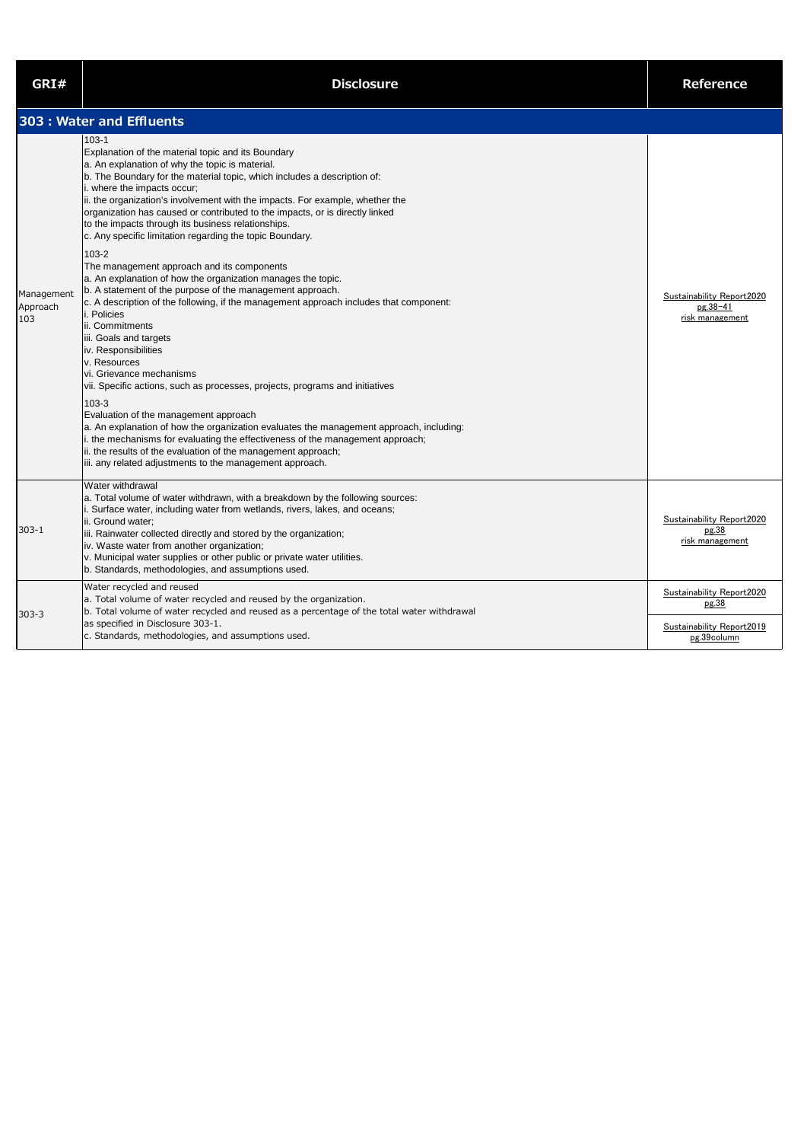| GRI#                          | <b>Disclosure</b>                                                                                                                                                                                                                                                                                                                                                                                                                                                                                                                                                                                                                                                                                                                                                                                                                                                                                                                                                                                                                                                                                                                                                                                                                                                                                                                                                          | <b>Reference</b>                                         |
|-------------------------------|----------------------------------------------------------------------------------------------------------------------------------------------------------------------------------------------------------------------------------------------------------------------------------------------------------------------------------------------------------------------------------------------------------------------------------------------------------------------------------------------------------------------------------------------------------------------------------------------------------------------------------------------------------------------------------------------------------------------------------------------------------------------------------------------------------------------------------------------------------------------------------------------------------------------------------------------------------------------------------------------------------------------------------------------------------------------------------------------------------------------------------------------------------------------------------------------------------------------------------------------------------------------------------------------------------------------------------------------------------------------------|----------------------------------------------------------|
|                               | 303 : Water and Effluents                                                                                                                                                                                                                                                                                                                                                                                                                                                                                                                                                                                                                                                                                                                                                                                                                                                                                                                                                                                                                                                                                                                                                                                                                                                                                                                                                  |                                                          |
| Management<br>Approach<br>103 | $103 - 1$<br>Explanation of the material topic and its Boundary<br>a. An explanation of why the topic is material.<br>b. The Boundary for the material topic, which includes a description of:<br>i. where the impacts occur;<br>ii. the organization's involvement with the impacts. For example, whether the<br>organization has caused or contributed to the impacts, or is directly linked<br>to the impacts through its business relationships.<br>c. Any specific limitation regarding the topic Boundary.<br>103-2<br>The management approach and its components<br>a. An explanation of how the organization manages the topic.<br>b. A statement of the purpose of the management approach.<br>c. A description of the following, if the management approach includes that component:<br>i. Policies<br>ii. Commitments<br>iii. Goals and targets<br>iv. Responsibilities<br>v. Resources<br>vi. Grievance mechanisms<br>vii. Specific actions, such as processes, projects, programs and initiatives<br>103-3<br>Evaluation of the management approach<br>a. An explanation of how the organization evaluates the management approach, including:<br>i. the mechanisms for evaluating the effectiveness of the management approach;<br>ii. the results of the evaluation of the management approach;<br>iii. any related adjustments to the management approach. | Sustainability Report2020<br>pg.38-41<br>risk management |
| $303 - 1$                     | Water withdrawal<br>a. Total volume of water withdrawn, with a breakdown by the following sources:<br>i. Surface water, including water from wetlands, rivers, lakes, and oceans;<br>ii. Ground water;<br>iii. Rainwater collected directly and stored by the organization;<br>iv. Waste water from another organization;<br>v. Municipal water supplies or other public or private water utilities.<br>b. Standards, methodologies, and assumptions used.                                                                                                                                                                                                                                                                                                                                                                                                                                                                                                                                                                                                                                                                                                                                                                                                                                                                                                                 | Sustainability Report2020<br>pg.38<br>risk management    |
| $303 - 3$                     | Water recycled and reused<br>a. Total volume of water recycled and reused by the organization.<br>b. Total volume of water recycled and reused as a percentage of the total water withdrawal                                                                                                                                                                                                                                                                                                                                                                                                                                                                                                                                                                                                                                                                                                                                                                                                                                                                                                                                                                                                                                                                                                                                                                               | Sustainability Report2020<br>pg.38                       |
|                               | as specified in Disclosure 303-1.<br>c. Standards, methodologies, and assumptions used.                                                                                                                                                                                                                                                                                                                                                                                                                                                                                                                                                                                                                                                                                                                                                                                                                                                                                                                                                                                                                                                                                                                                                                                                                                                                                    | Sustainability Report2019<br>pg.39column                 |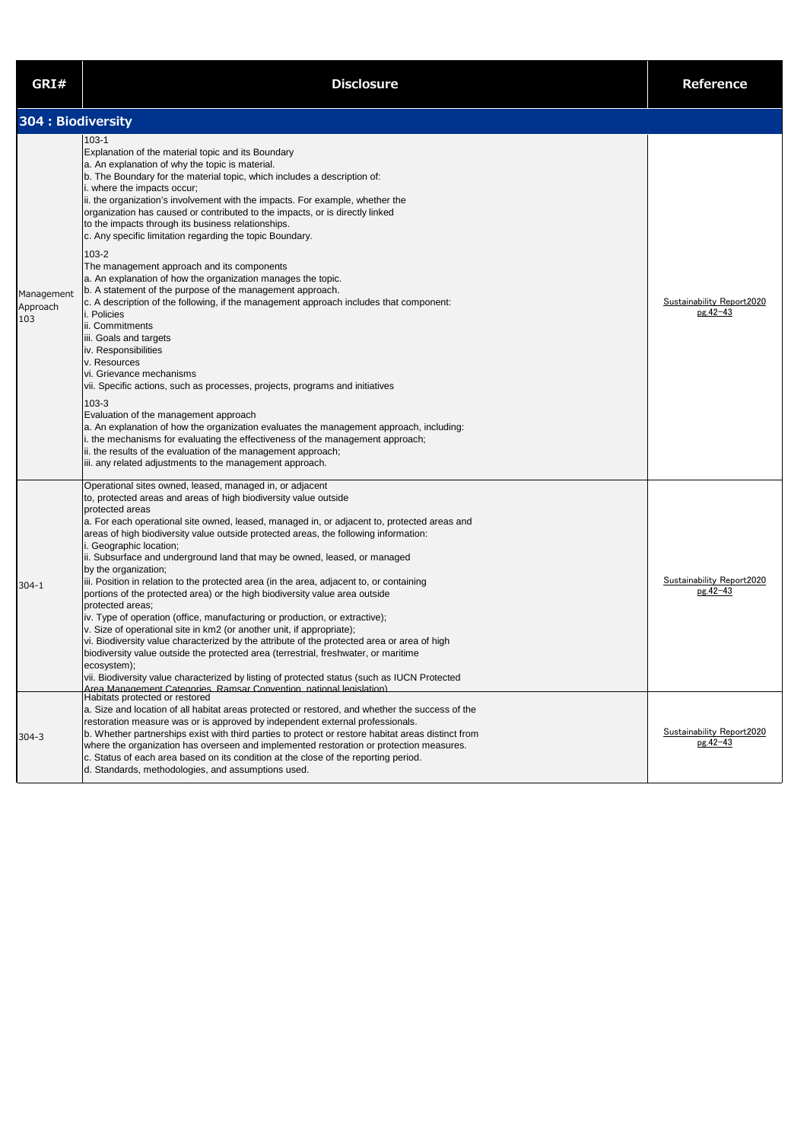| GRI#                          | <b>Disclosure</b>                                                                                                                                                                                                                                                                                                                                                                                                                                                                                                                                                                                                                                                                                                                                                                                                                                                                                                                                                                                                                                                                                                                                                                                                                                                                                                                                                              | <b>Reference</b>                             |
|-------------------------------|--------------------------------------------------------------------------------------------------------------------------------------------------------------------------------------------------------------------------------------------------------------------------------------------------------------------------------------------------------------------------------------------------------------------------------------------------------------------------------------------------------------------------------------------------------------------------------------------------------------------------------------------------------------------------------------------------------------------------------------------------------------------------------------------------------------------------------------------------------------------------------------------------------------------------------------------------------------------------------------------------------------------------------------------------------------------------------------------------------------------------------------------------------------------------------------------------------------------------------------------------------------------------------------------------------------------------------------------------------------------------------|----------------------------------------------|
| 304 : Biodiversity            |                                                                                                                                                                                                                                                                                                                                                                                                                                                                                                                                                                                                                                                                                                                                                                                                                                                                                                                                                                                                                                                                                                                                                                                                                                                                                                                                                                                |                                              |
| Management<br>Approach<br>103 | $103 - 1$<br>Explanation of the material topic and its Boundary<br>a. An explanation of why the topic is material.<br>b. The Boundary for the material topic, which includes a description of:<br>i. where the impacts occur;<br>ii. the organization's involvement with the impacts. For example, whether the<br>organization has caused or contributed to the impacts, or is directly linked<br>to the impacts through its business relationships.<br>c. Any specific limitation regarding the topic Boundary.<br>$103 - 2$<br>The management approach and its components<br>a. An explanation of how the organization manages the topic.<br>b. A statement of the purpose of the management approach.<br>c. A description of the following, if the management approach includes that component:<br>i. Policies<br>ii. Commitments<br>iii. Goals and targets<br>iv. Responsibilities<br>v. Resources<br>vi. Grievance mechanisms<br>vii. Specific actions, such as processes, projects, programs and initiatives<br>103-3<br>Evaluation of the management approach<br>a. An explanation of how the organization evaluates the management approach, including:<br>i. the mechanisms for evaluating the effectiveness of the management approach;<br>ii. the results of the evaluation of the management approach;<br>iii. any related adjustments to the management approach. | Sustainability Report2020<br>pg.42-43        |
| $304 - 1$                     | Operational sites owned, leased, managed in, or adjacent<br>to, protected areas and areas of high biodiversity value outside<br>protected areas<br>a. For each operational site owned, leased, managed in, or adjacent to, protected areas and<br>areas of high biodiversity value outside protected areas, the following information:<br>i. Geographic location;<br>ii. Subsurface and underground land that may be owned, leased, or managed<br>by the organization;<br>iii. Position in relation to the protected area (in the area, adjacent to, or containing<br>portions of the protected area) or the high biodiversity value area outside<br>protected areas;<br>iv. Type of operation (office, manufacturing or production, or extractive);<br>v. Size of operational site in km2 (or another unit, if appropriate);<br>vi. Biodiversity value characterized by the attribute of the protected area or area of high<br>biodiversity value outside the protected area (terrestrial, freshwater, or maritime<br>ecosystem);<br>vii. Biodiversity value characterized by listing of protected status (such as IUCN Protected<br>Area Management Categories, Ramsar Convention, national legislation)                                                                                                                                                                     | <b>Sustainability Report2020</b><br>pg.42-43 |
| $304 - 3$                     | Habitats protected or restored<br>a. Size and location of all habitat areas protected or restored, and whether the success of the<br>restoration measure was or is approved by independent external professionals.<br>b. Whether partnerships exist with third parties to protect or restore habitat areas distinct from<br>where the organization has overseen and implemented restoration or protection measures.<br>c. Status of each area based on its condition at the close of the reporting period.<br>d. Standards, methodologies, and assumptions used.                                                                                                                                                                                                                                                                                                                                                                                                                                                                                                                                                                                                                                                                                                                                                                                                               | Sustainability Report2020<br>pg.42-43        |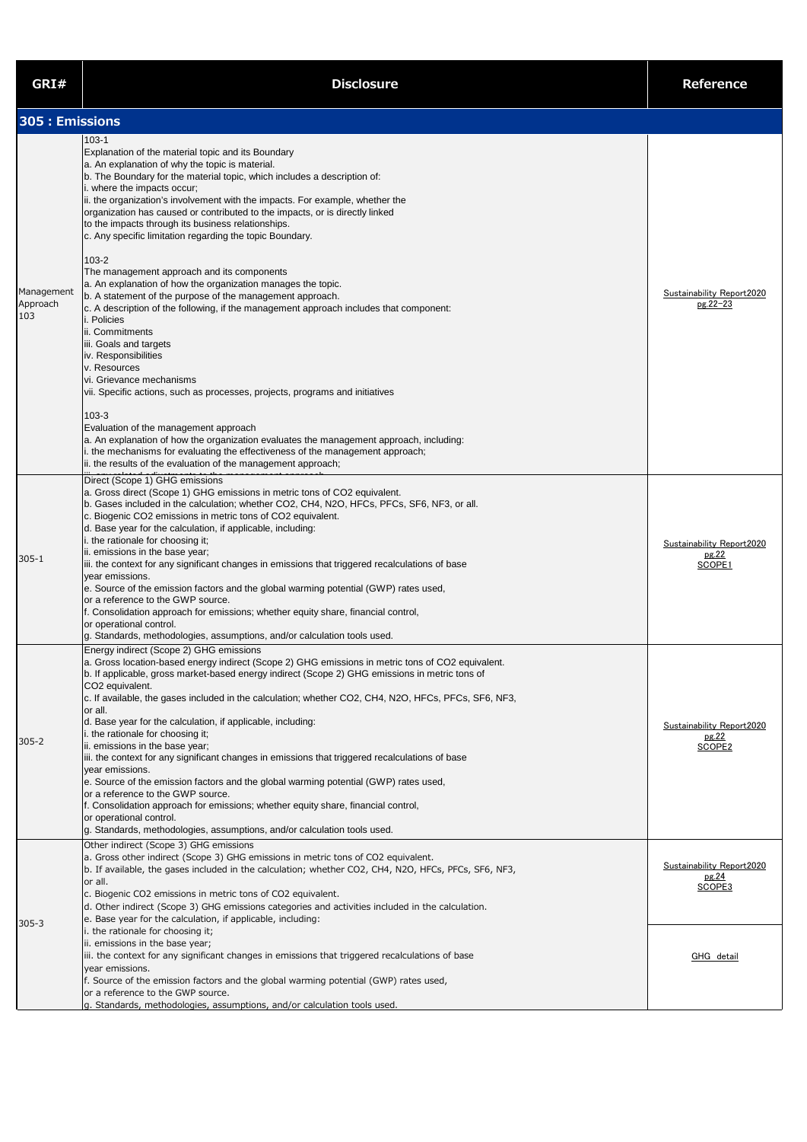| GRI#                          | <b>Disclosure</b>                                                                                                                                                                                                                                                                                                                                                                                                                                                                                                                                                                                                                                                                                                                                                                                                                                                                                                                                                                                                                                                                                                                                                                                                                                                                                                      | <b>Reference</b>                                           |
|-------------------------------|------------------------------------------------------------------------------------------------------------------------------------------------------------------------------------------------------------------------------------------------------------------------------------------------------------------------------------------------------------------------------------------------------------------------------------------------------------------------------------------------------------------------------------------------------------------------------------------------------------------------------------------------------------------------------------------------------------------------------------------------------------------------------------------------------------------------------------------------------------------------------------------------------------------------------------------------------------------------------------------------------------------------------------------------------------------------------------------------------------------------------------------------------------------------------------------------------------------------------------------------------------------------------------------------------------------------|------------------------------------------------------------|
| 305 : Emissions               |                                                                                                                                                                                                                                                                                                                                                                                                                                                                                                                                                                                                                                                                                                                                                                                                                                                                                                                                                                                                                                                                                                                                                                                                                                                                                                                        |                                                            |
| Management<br>Approach<br>103 | $103 - 1$<br>Explanation of the material topic and its Boundary<br>a. An explanation of why the topic is material.<br>b. The Boundary for the material topic, which includes a description of:<br>i. where the impacts occur;<br>ii. the organization's involvement with the impacts. For example, whether the<br>organization has caused or contributed to the impacts, or is directly linked<br>to the impacts through its business relationships.<br>c. Any specific limitation regarding the topic Boundary.<br>$103 - 2$<br>The management approach and its components<br>a. An explanation of how the organization manages the topic.<br>b. A statement of the purpose of the management approach.<br>c. A description of the following, if the management approach includes that component:<br>i. Policies<br>ii. Commitments<br>iii. Goals and targets<br>iv. Responsibilities<br>v. Resources<br>vi. Grievance mechanisms<br>vii. Specific actions, such as processes, projects, programs and initiatives<br>$103 - 3$<br>Evaluation of the management approach<br>a. An explanation of how the organization evaluates the management approach, including:<br>i. the mechanisms for evaluating the effectiveness of the management approach;<br>ii. the results of the evaluation of the management approach; | Sustainability Report2020<br>pg.22-23                      |
| $305 - 1$                     | Direct (Scope 1) GHG emissions<br>a. Gross direct (Scope 1) GHG emissions in metric tons of CO2 equivalent.<br>b. Gases included in the calculation; whether CO2, CH4, N2O, HFCs, PFCs, SF6, NF3, or all.<br>c. Biogenic CO2 emissions in metric tons of CO2 equivalent.<br>d. Base year for the calculation, if applicable, including:<br>i. the rationale for choosing it;<br>ii. emissions in the base year;<br>iii. the context for any significant changes in emissions that triggered recalculations of base<br>year emissions.<br>e. Source of the emission factors and the global warming potential (GWP) rates used,<br>or a reference to the GWP source.<br>f. Consolidation approach for emissions; whether equity share, financial control,<br>or operational control.<br>g. Standards, methodologies, assumptions, and/or calculation tools used.                                                                                                                                                                                                                                                                                                                                                                                                                                                         | Sustainability Report2020<br>pg.22<br>SCOPE1               |
| $305 - 2$                     | Energy indirect (Scope 2) GHG emissions<br>a. Gross location-based energy indirect (Scope 2) GHG emissions in metric tons of CO2 equivalent.<br>b. If applicable, gross market-based energy indirect (Scope 2) GHG emissions in metric tons of<br>CO2 equivalent.<br>c. If available, the gases included in the calculation; whether CO2, CH4, N2O, HFCs, PFCs, SF6, NF3,<br>or all.<br>d. Base year for the calculation, if applicable, including:<br>i. the rationale for choosing it;<br>ii. emissions in the base year;<br>iii. the context for any significant changes in emissions that triggered recalculations of base<br>year emissions.<br>e. Source of the emission factors and the global warming potential (GWP) rates used,<br>or a reference to the GWP source.<br>f. Consolidation approach for emissions; whether equity share, financial control,<br>or operational control.<br>g. Standards, methodologies, assumptions, and/or calculation tools used.                                                                                                                                                                                                                                                                                                                                             | Sustainability Report2020<br>pg.22<br>SCOPE2               |
| $305 - 3$                     | Other indirect (Scope 3) GHG emissions<br>a. Gross other indirect (Scope 3) GHG emissions in metric tons of CO2 equivalent.<br>b. If available, the gases included in the calculation; whether CO2, CH4, N2O, HFCs, PFCs, SF6, NF3,<br>or all.<br>c. Biogenic CO2 emissions in metric tons of CO2 equivalent.<br>d. Other indirect (Scope 3) GHG emissions categories and activities included in the calculation.<br>e. Base year for the calculation, if applicable, including:<br>i. the rationale for choosing it;<br>ii. emissions in the base year;<br>iii. the context for any significant changes in emissions that triggered recalculations of base<br>year emissions.<br>f. Source of the emission factors and the global warming potential (GWP) rates used,<br>or a reference to the GWP source.<br>g. Standards, methodologies, assumptions, and/or calculation tools used.                                                                                                                                                                                                                                                                                                                                                                                                                                | Sustainability Report2020<br>pg.24<br>SCOPE3<br>GHG detail |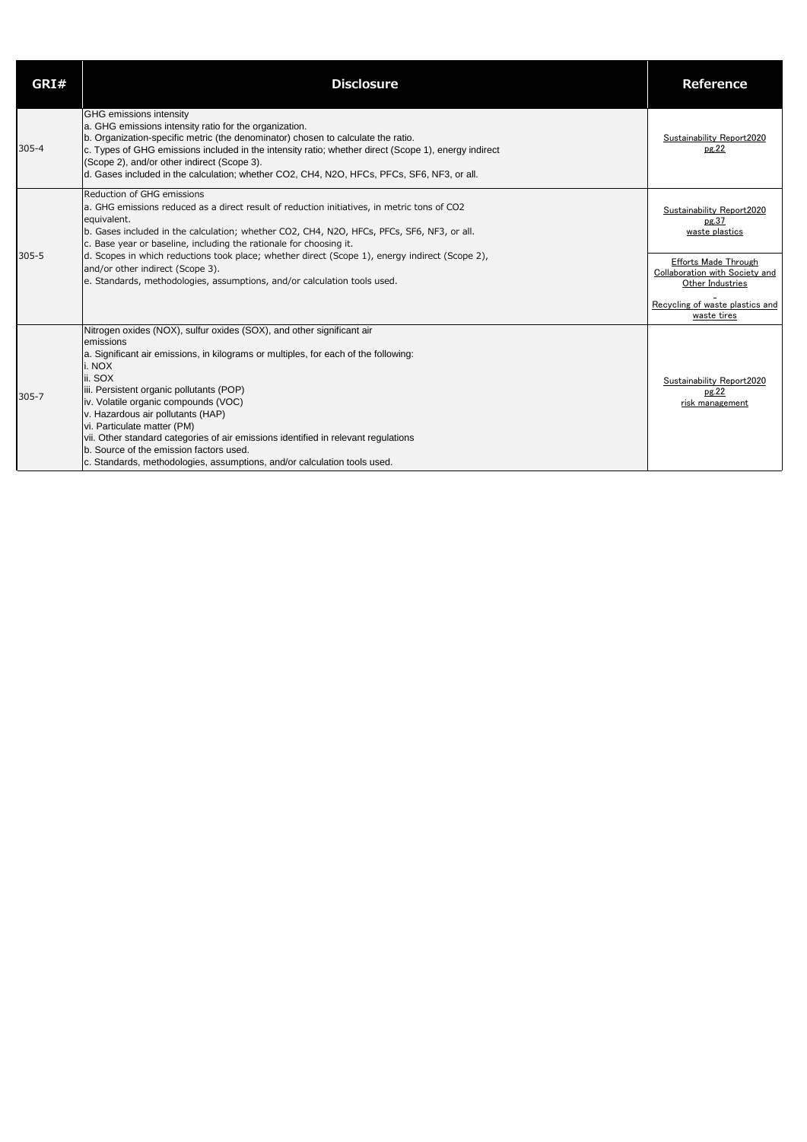| GRI#      | <b>Disclosure</b>                                                                                                                                                                                                                                                                                                                                                                                                                                                                                                                                                   | <b>Reference</b>                                                                                                                                                                            |
|-----------|---------------------------------------------------------------------------------------------------------------------------------------------------------------------------------------------------------------------------------------------------------------------------------------------------------------------------------------------------------------------------------------------------------------------------------------------------------------------------------------------------------------------------------------------------------------------|---------------------------------------------------------------------------------------------------------------------------------------------------------------------------------------------|
| $305 - 4$ | GHG emissions intensity<br>a. GHG emissions intensity ratio for the organization.<br>b. Organization-specific metric (the denominator) chosen to calculate the ratio.<br>c. Types of GHG emissions included in the intensity ratio; whether direct (Scope 1), energy indirect<br>(Scope 2), and/or other indirect (Scope 3).<br>d. Gases included in the calculation; whether CO2, CH4, N2O, HFCs, PFCs, SF6, NF3, or all.                                                                                                                                          | Sustainability Report2020<br>pg.22                                                                                                                                                          |
| $305 - 5$ | <b>Reduction of GHG emissions</b><br>a. GHG emissions reduced as a direct result of reduction initiatives, in metric tons of CO2<br>equivalent.<br>b. Gases included in the calculation; whether CO2, CH4, N2O, HFCs, PFCs, SF6, NF3, or all.<br>c. Base year or baseline, including the rationale for choosing it.<br>d. Scopes in which reductions took place; whether direct (Scope 1), energy indirect (Scope 2),<br>and/or other indirect (Scope 3).<br>e. Standards, methodologies, assumptions, and/or calculation tools used.                               | Sustainability Report2020<br>pg.37<br>waste plastics<br><b>Efforts Made Through</b><br>Collaboration with Society and<br>Other Industries<br>Recycling of waste plastics and<br>waste tires |
| $305 - 7$ | Nitrogen oxides (NOX), sulfur oxides (SOX), and other significant air<br>emissions<br>a. Significant air emissions, in kilograms or multiples, for each of the following:<br>i. NOX<br>ii. SOX<br>iii. Persistent organic pollutants (POP)<br>iv. Volatile organic compounds (VOC)<br>v. Hazardous air pollutants (HAP)<br>vi. Particulate matter (PM)<br>vii. Other standard categories of air emissions identified in relevant regulations<br>b. Source of the emission factors used.<br>c. Standards, methodologies, assumptions, and/or calculation tools used. | Sustainability Report2020<br>pg.22<br>risk management                                                                                                                                       |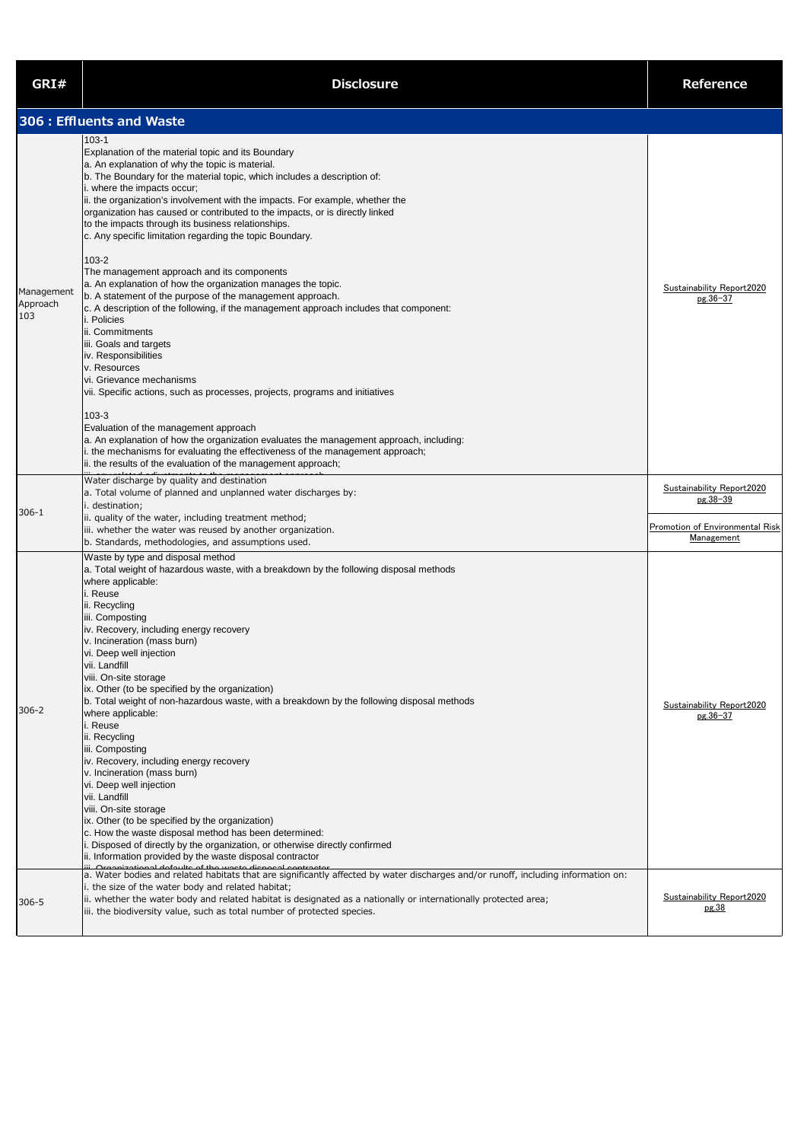| GRI#                          | <b>Disclosure</b>                                                                                                                                                                                                                                                                                                                                                                                                                                                                                                                                                                                                                                                                                                                                                                                                                                                                                                                                                                                                                                                                                                                                                     | <b>Reference</b>                                                                              |
|-------------------------------|-----------------------------------------------------------------------------------------------------------------------------------------------------------------------------------------------------------------------------------------------------------------------------------------------------------------------------------------------------------------------------------------------------------------------------------------------------------------------------------------------------------------------------------------------------------------------------------------------------------------------------------------------------------------------------------------------------------------------------------------------------------------------------------------------------------------------------------------------------------------------------------------------------------------------------------------------------------------------------------------------------------------------------------------------------------------------------------------------------------------------------------------------------------------------|-----------------------------------------------------------------------------------------------|
|                               | 306 : Effluents and Waste                                                                                                                                                                                                                                                                                                                                                                                                                                                                                                                                                                                                                                                                                                                                                                                                                                                                                                                                                                                                                                                                                                                                             |                                                                                               |
| Management<br>Approach<br>103 | $103 - 1$<br>Explanation of the material topic and its Boundary<br>a. An explanation of why the topic is material.<br>b. The Boundary for the material topic, which includes a description of:<br>i. where the impacts occur;<br>ii. the organization's involvement with the impacts. For example, whether the<br>organization has caused or contributed to the impacts, or is directly linked<br>to the impacts through its business relationships.<br>c. Any specific limitation regarding the topic Boundary.<br>103-2<br>The management approach and its components<br>a. An explanation of how the organization manages the topic.<br>b. A statement of the purpose of the management approach.<br>$\vert$ c. A description of the following, if the management approach includes that component:<br>i. Policies<br>ii. Commitments<br>iii. Goals and targets<br>iv. Responsibilities<br>v. Resources<br>vi. Grievance mechanisms<br>vii. Specific actions, such as processes, projects, programs and initiatives                                                                                                                                                | Sustainability Report2020<br>pg.36-37                                                         |
| $306 - 1$                     | $103 - 3$<br>Evaluation of the management approach<br>a. An explanation of how the organization evaluates the management approach, including:<br>i. the mechanisms for evaluating the effectiveness of the management approach;<br>ii. the results of the evaluation of the management approach;<br>Water discharge by quality and destination<br>a. Total volume of planned and unplanned water discharges by:<br>i. destination;<br>ii. quality of the water, including treatment method;<br>iii. whether the water was reused by another organization.                                                                                                                                                                                                                                                                                                                                                                                                                                                                                                                                                                                                             | <b>Sustainability Report2020</b><br>pg.38-39<br>Promotion of Environmental Risk<br>Management |
| $306 - 2$                     | b. Standards, methodologies, and assumptions used.<br>Waste by type and disposal method<br>a. Total weight of hazardous waste, with a breakdown by the following disposal methods<br>where applicable:<br>i. Reuse<br>ii. Recycling<br>iii. Composting<br>iv. Recovery, including energy recovery<br>v. Incineration (mass burn)<br>vi. Deep well injection<br>vii. Landfill<br>viii. On-site storage<br>ix. Other (to be specified by the organization)<br>b. Total weight of non-hazardous waste, with a breakdown by the following disposal methods<br>where applicable:<br>i. Reuse<br>ii. Recycling<br>iii. Composting<br>iv. Recovery, including energy recovery<br>v. Incineration (mass burn)<br>vi. Deep well injection<br>vii. Landfill<br>viii. On-site storage<br>ix. Other (to be specified by the organization)<br>c. How the waste disposal method has been determined:<br>Disposed of directly by the organization, or otherwise directly confirmed<br>ii. Information provided by the waste disposal contractor<br>a. Water bodies and related habitats that are significantly affected by water discharges and/or runoff, including information on: | Sustainability Report2020<br>pg.36-37                                                         |
| 306-5                         | i. the size of the water body and related habitat;<br>ii. whether the water body and related habitat is designated as a nationally or internationally protected area;<br>iii. the biodiversity value, such as total number of protected species.                                                                                                                                                                                                                                                                                                                                                                                                                                                                                                                                                                                                                                                                                                                                                                                                                                                                                                                      | Sustainability Report2020<br>pg.38                                                            |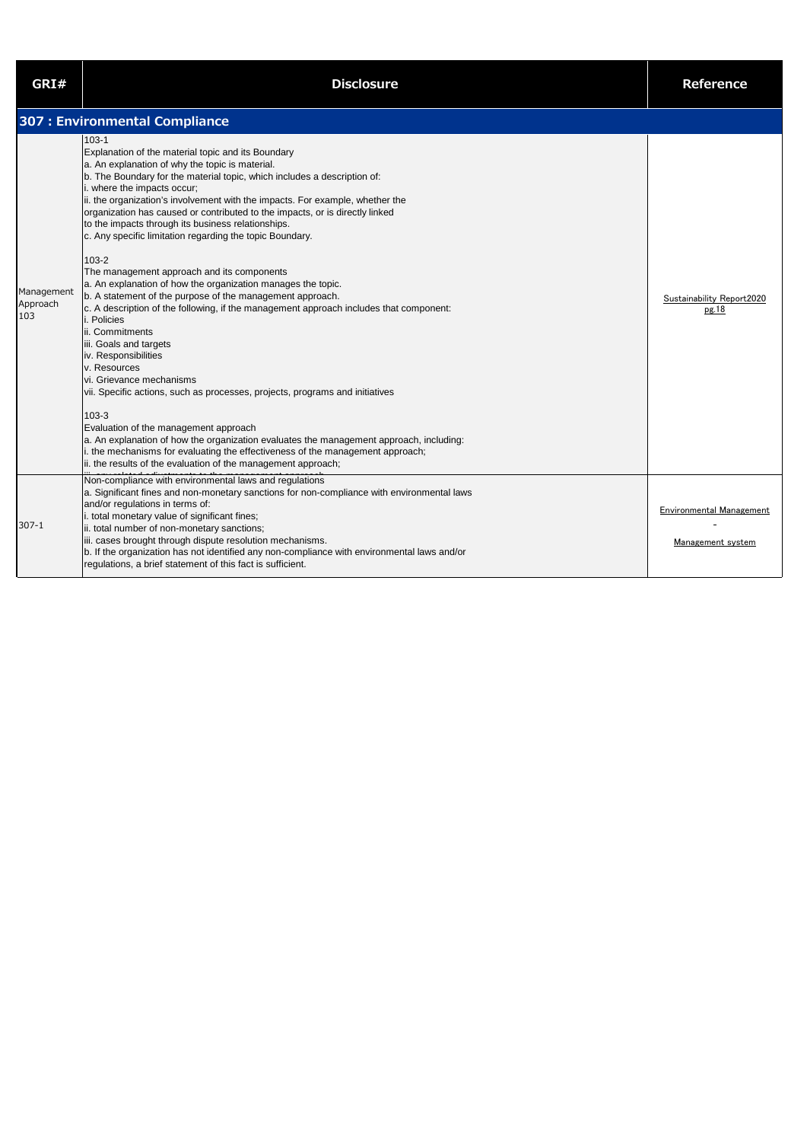| GRI#                          | <b>Disclosure</b>                                                                                                                                                                                                                                                                                                                                                                                                                                                                                                                                                                                                                                                                                                                                                                                                                                                                                                                                                                                                                                                                                                                                                                                                                                                                                                      | <b>Reference</b>                                     |
|-------------------------------|------------------------------------------------------------------------------------------------------------------------------------------------------------------------------------------------------------------------------------------------------------------------------------------------------------------------------------------------------------------------------------------------------------------------------------------------------------------------------------------------------------------------------------------------------------------------------------------------------------------------------------------------------------------------------------------------------------------------------------------------------------------------------------------------------------------------------------------------------------------------------------------------------------------------------------------------------------------------------------------------------------------------------------------------------------------------------------------------------------------------------------------------------------------------------------------------------------------------------------------------------------------------------------------------------------------------|------------------------------------------------------|
|                               | 307 : Environmental Compliance                                                                                                                                                                                                                                                                                                                                                                                                                                                                                                                                                                                                                                                                                                                                                                                                                                                                                                                                                                                                                                                                                                                                                                                                                                                                                         |                                                      |
| Management<br>Approach<br>103 | $103 - 1$<br>Explanation of the material topic and its Boundary<br>a. An explanation of why the topic is material.<br>b. The Boundary for the material topic, which includes a description of:<br>i. where the impacts occur;<br>ii. the organization's involvement with the impacts. For example, whether the<br>organization has caused or contributed to the impacts, or is directly linked<br>to the impacts through its business relationships.<br>c. Any specific limitation regarding the topic Boundary.<br>$103 - 2$<br>The management approach and its components<br>a. An explanation of how the organization manages the topic.<br>b. A statement of the purpose of the management approach.<br>c. A description of the following, if the management approach includes that component:<br>i. Policies<br>ii. Commitments<br>iii. Goals and targets<br>iv. Responsibilities<br>v. Resources<br>vi. Grievance mechanisms<br>vii. Specific actions, such as processes, projects, programs and initiatives<br>$103 - 3$<br>Evaluation of the management approach<br>a. An explanation of how the organization evaluates the management approach, including:<br>i. the mechanisms for evaluating the effectiveness of the management approach;<br>ii. the results of the evaluation of the management approach; | Sustainability Report2020<br>pg.18                   |
| $307 - 1$                     | Non-compliance with environmental laws and regulations<br>a. Significant fines and non-monetary sanctions for non-compliance with environmental laws<br>and/or regulations in terms of:<br>i. total monetary value of significant fines;<br>ii. total number of non-monetary sanctions;<br>iii. cases brought through dispute resolution mechanisms.<br>b. If the organization has not identified any non-compliance with environmental laws and/or<br>regulations, a brief statement of this fact is sufficient.                                                                                                                                                                                                                                                                                                                                                                                                                                                                                                                                                                                                                                                                                                                                                                                                      | <b>Environmental Management</b><br>Management system |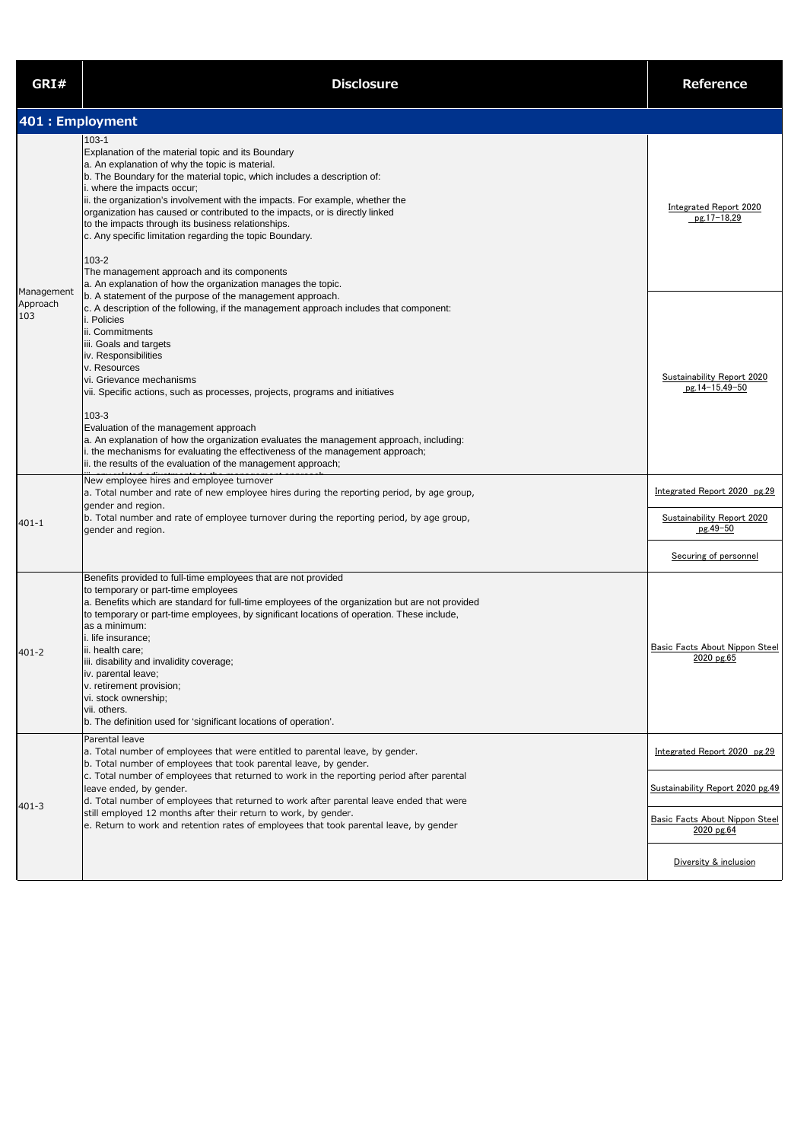| GRI#                          | <b>Disclosure</b>                                                                                                                                                                                                                                                                                                                                                                                                                                                                                                                                                                                                                                                       | Reference                                                              |
|-------------------------------|-------------------------------------------------------------------------------------------------------------------------------------------------------------------------------------------------------------------------------------------------------------------------------------------------------------------------------------------------------------------------------------------------------------------------------------------------------------------------------------------------------------------------------------------------------------------------------------------------------------------------------------------------------------------------|------------------------------------------------------------------------|
| 401 : Employment              |                                                                                                                                                                                                                                                                                                                                                                                                                                                                                                                                                                                                                                                                         |                                                                        |
|                               | $103 - 1$<br>Explanation of the material topic and its Boundary<br>a. An explanation of why the topic is material.<br>b. The Boundary for the material topic, which includes a description of:<br>i. where the impacts occur;<br>ii. the organization's involvement with the impacts. For example, whether the<br>organization has caused or contributed to the impacts, or is directly linked<br>to the impacts through its business relationships.<br>c. Any specific limitation regarding the topic Boundary.<br>$103 - 2$<br>The management approach and its components<br>a. An explanation of how the organization manages the topic.                             | <b>Integrated Report 2020</b><br>pg.17-18,29                           |
| Management<br>Approach<br>103 | b. A statement of the purpose of the management approach.<br>c. A description of the following, if the management approach includes that component:<br>i. Policies<br>ii. Commitments<br>iii. Goals and targets<br>iv. Responsibilities<br>v. Resources<br>vi. Grievance mechanisms<br>vii. Specific actions, such as processes, projects, programs and initiatives<br>$103 - 3$<br>Evaluation of the management approach<br>a. An explanation of how the organization evaluates the management approach, including:<br>i. the mechanisms for evaluating the effectiveness of the management approach;<br>ii. the results of the evaluation of the management approach; | Sustainability Report 2020<br>pg.14-15,49-50                           |
| $401 - 1$                     | New employee hires and employee turnover<br>a. Total number and rate of new employee hires during the reporting period, by age group,<br>gender and region.<br>b. Total number and rate of employee turnover during the reporting period, by age group,<br>gender and region.                                                                                                                                                                                                                                                                                                                                                                                           | Integrated Report 2020 pg.29<br>Sustainability Report 2020<br>pg.49-50 |
| $401 - 2$                     | Benefits provided to full-time employees that are not provided<br>to temporary or part-time employees<br>a. Benefits which are standard for full-time employees of the organization but are not provided<br>to temporary or part-time employees, by significant locations of operation. These include,<br>as a minimum:<br>i. life insurance;<br>ii. health care;<br>iii. disability and invalidity coverage;<br>iv. parental leave;<br>v. retirement provision;<br>vi. stock ownership;<br>vii. others.<br>b. The definition used for 'significant locations of operation'.                                                                                            | Securing of personnel<br>Basic Facts About Nippon Steel<br>2020 pg.65  |
| $401 - 3$                     | Parental leave<br>a. Total number of employees that were entitled to parental leave, by gender.<br>b. Total number of employees that took parental leave, by gender.<br>c. Total number of employees that returned to work in the reporting period after parental<br>leave ended, by gender.<br>d. Total number of employees that returned to work after parental leave ended that were                                                                                                                                                                                                                                                                                 | Integrated Report 2020 pg.29<br>Sustainability Report 2020 pg.49       |
|                               | still employed 12 months after their return to work, by gender.<br>e. Return to work and retention rates of employees that took parental leave, by gender                                                                                                                                                                                                                                                                                                                                                                                                                                                                                                               | <b>Basic Facts About Nippon Steel</b><br>2020 pg.64                    |
|                               |                                                                                                                                                                                                                                                                                                                                                                                                                                                                                                                                                                                                                                                                         | Diversity & inclusion                                                  |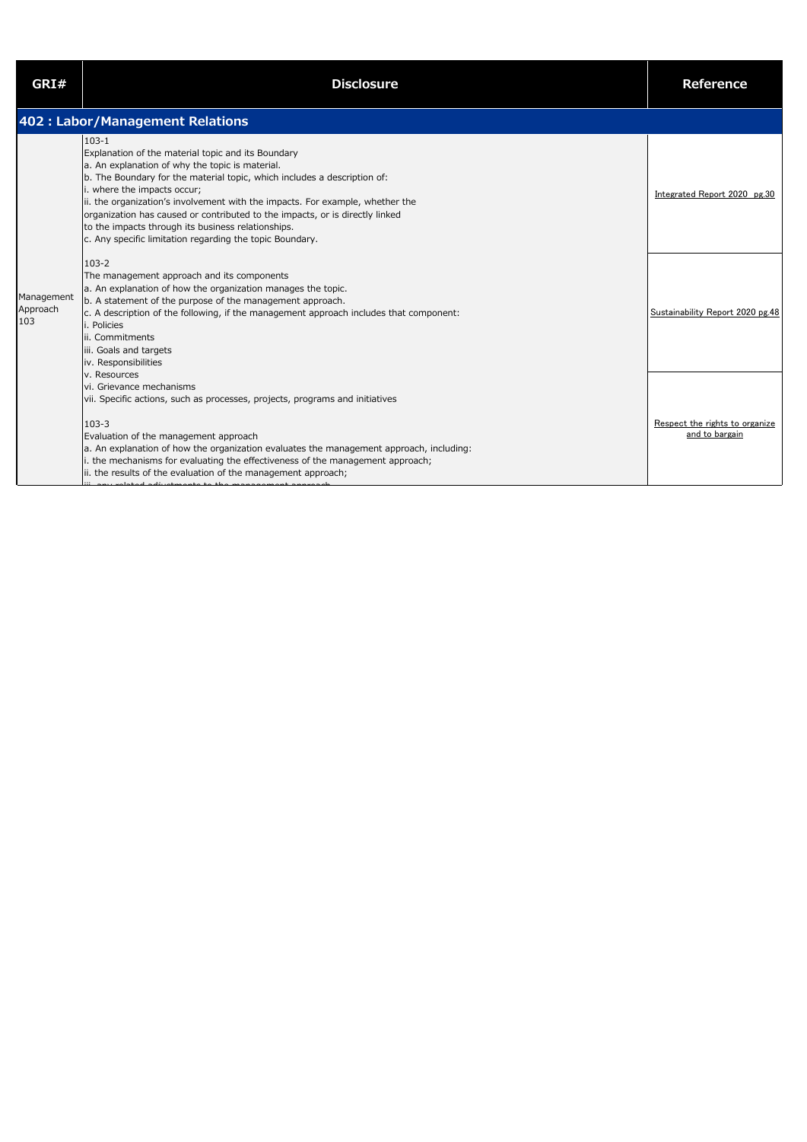| GRI#                          | <b>Disclosure</b>                                                                                                                                                                                                                                                                                                                                                                                                                                                                                                | <b>Reference</b>                                 |
|-------------------------------|------------------------------------------------------------------------------------------------------------------------------------------------------------------------------------------------------------------------------------------------------------------------------------------------------------------------------------------------------------------------------------------------------------------------------------------------------------------------------------------------------------------|--------------------------------------------------|
|                               | 402 : Labor/Management Relations                                                                                                                                                                                                                                                                                                                                                                                                                                                                                 |                                                  |
| Management<br>Approach<br>103 | $103 - 1$<br>Explanation of the material topic and its Boundary<br>a. An explanation of why the topic is material.<br>b. The Boundary for the material topic, which includes a description of:<br>i. where the impacts occur;<br>ii. the organization's involvement with the impacts. For example, whether the<br>organization has caused or contributed to the impacts, or is directly linked<br>to the impacts through its business relationships.<br>c. Any specific limitation regarding the topic Boundary. | Integrated Report 2020 pg.30                     |
|                               | $103 - 2$<br>The management approach and its components<br>a. An explanation of how the organization manages the topic.<br>b. A statement of the purpose of the management approach.<br>c. A description of the following, if the management approach includes that component:<br>i. Policies<br>lii. Commitments<br>iii. Goals and targets<br>iv. Responsibilities                                                                                                                                              | Sustainability Report 2020 pg.48                 |
|                               | v. Resources<br>vi. Grievance mechanisms<br>vii. Specific actions, such as processes, projects, programs and initiatives<br>$103 - 3$<br>Evaluation of the management approach<br>a. An explanation of how the organization evaluates the management approach, including:<br>i. the mechanisms for evaluating the effectiveness of the management approach;<br>ii. the results of the evaluation of the management approach;<br>nu related adjustments to the management annu                                    | Respect the rights to organize<br>and to bargain |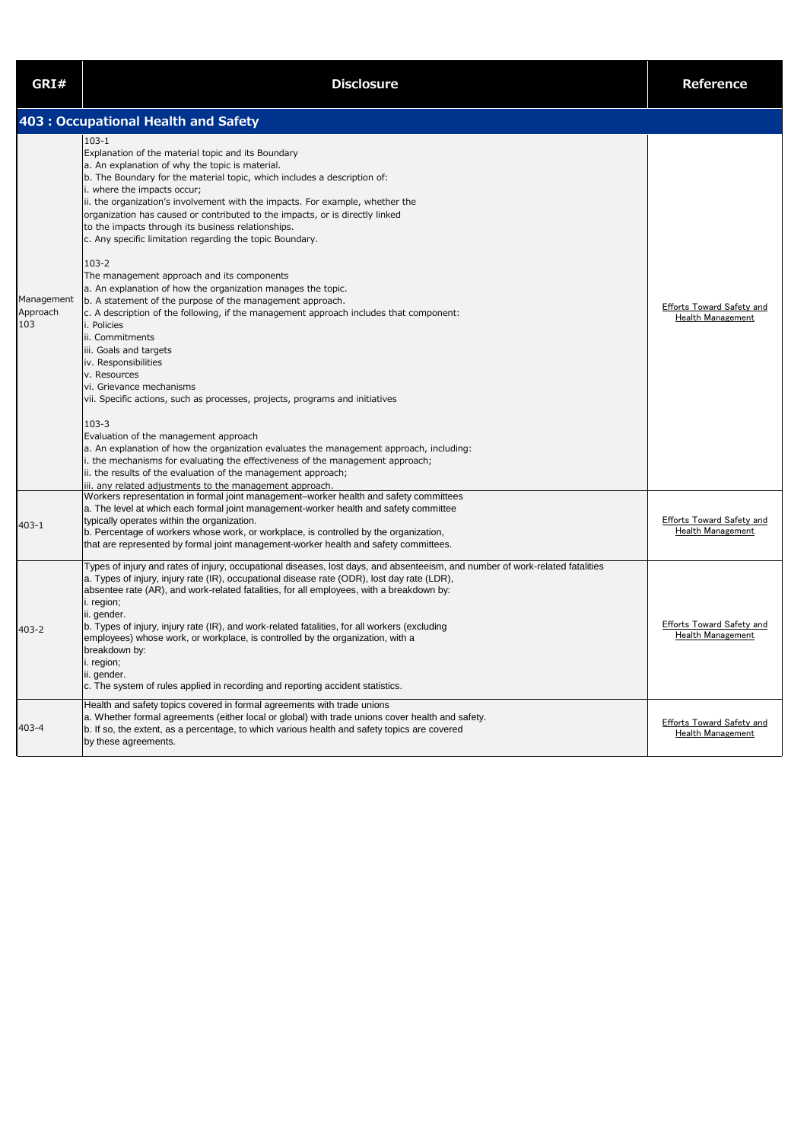| GRI#                          | <b>Disclosure</b>                                                                                                                                                                                                                                                                                                                                                                                                                                                                                                                                                                                                                                                                                                                                                                                                                                                                                                                                                                                                                                                        | <b>Reference</b>                                             |
|-------------------------------|--------------------------------------------------------------------------------------------------------------------------------------------------------------------------------------------------------------------------------------------------------------------------------------------------------------------------------------------------------------------------------------------------------------------------------------------------------------------------------------------------------------------------------------------------------------------------------------------------------------------------------------------------------------------------------------------------------------------------------------------------------------------------------------------------------------------------------------------------------------------------------------------------------------------------------------------------------------------------------------------------------------------------------------------------------------------------|--------------------------------------------------------------|
|                               | 403 : Occupational Health and Safety                                                                                                                                                                                                                                                                                                                                                                                                                                                                                                                                                                                                                                                                                                                                                                                                                                                                                                                                                                                                                                     |                                                              |
| Management<br>Approach<br>103 | $103 - 1$<br>Explanation of the material topic and its Boundary<br>a. An explanation of why the topic is material.<br>b. The Boundary for the material topic, which includes a description of:<br>i. where the impacts occur;<br>ii. the organization's involvement with the impacts. For example, whether the<br>organization has caused or contributed to the impacts, or is directly linked<br>to the impacts through its business relationships.<br>c. Any specific limitation regarding the topic Boundary.<br>$103 - 2$<br>The management approach and its components<br>a. An explanation of how the organization manages the topic.<br>b. A statement of the purpose of the management approach.<br>c. A description of the following, if the management approach includes that component:<br>i. Policies<br>ii. Commitments<br>iii. Goals and targets<br>iv. Responsibilities<br>v. Resources<br>vi. Grievance mechanisms<br>vii. Specific actions, such as processes, projects, programs and initiatives<br>$103 - 3$<br>Evaluation of the management approach | <b>Efforts Toward Safety and</b><br>Health Management        |
| $403 - 1$                     | a. An explanation of how the organization evaluates the management approach, including:<br>i. the mechanisms for evaluating the effectiveness of the management approach;<br>ii. the results of the evaluation of the management approach;<br>iii. any related adjustments to the management approach.<br>Workers representation in formal joint management-worker health and safety committees<br>a. The level at which each formal joint management-worker health and safety committee<br>typically operates within the organization.<br>b. Percentage of workers whose work, or workplace, is controlled by the organization,<br>that are represented by formal joint management-worker health and safety committees.                                                                                                                                                                                                                                                                                                                                                 | <b>Efforts Toward Safety and</b><br>Health Management        |
| $403 - 2$                     | Types of injury and rates of injury, occupational diseases, lost days, and absenteeism, and number of work-related fatalities<br>a. Types of injury, injury rate (IR), occupational disease rate (ODR), lost day rate (LDR),<br>absentee rate (AR), and work-related fatalities, for all employees, with a breakdown by:<br>i. region;<br>ii. gender.<br>b. Types of injury, injury rate (IR), and work-related fatalities, for all workers (excluding<br>employees) whose work, or workplace, is controlled by the organization, with a<br>breakdown by:<br>i. region;<br>ii. gender.<br>c. The system of rules applied in recording and reporting accident statistics.                                                                                                                                                                                                                                                                                                                                                                                                 | <b>Efforts Toward Safety and</b><br><b>Health Management</b> |
| 403-4                         | Health and safety topics covered in formal agreements with trade unions<br>a. Whether formal agreements (either local or global) with trade unions cover health and safety.<br>b. If so, the extent, as a percentage, to which various health and safety topics are covered<br>by these agreements.                                                                                                                                                                                                                                                                                                                                                                                                                                                                                                                                                                                                                                                                                                                                                                      | <b>Efforts Toward Safety and</b><br><b>Health Management</b> |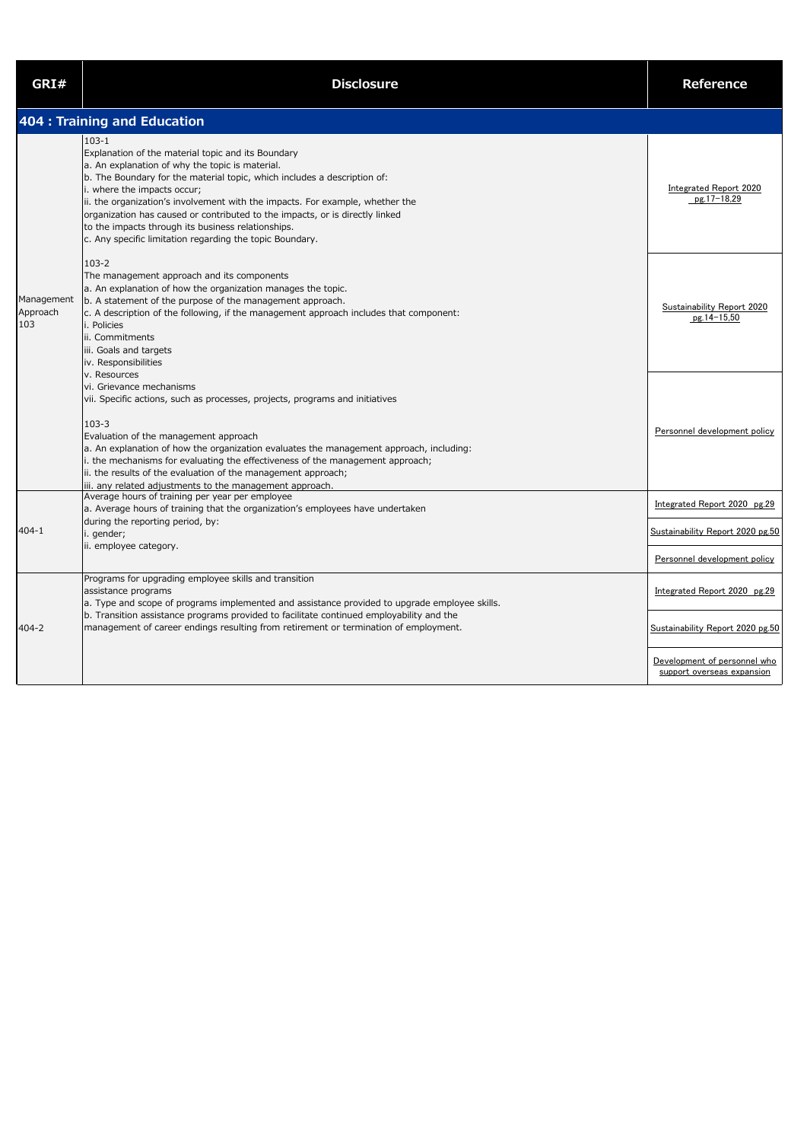| GRI#                          | <b>Disclosure</b>                                                                                                                                                                                                                                                                                                                                                                                                                                                                                                | <b>Reference</b>                                                                                                               |
|-------------------------------|------------------------------------------------------------------------------------------------------------------------------------------------------------------------------------------------------------------------------------------------------------------------------------------------------------------------------------------------------------------------------------------------------------------------------------------------------------------------------------------------------------------|--------------------------------------------------------------------------------------------------------------------------------|
|                               | 404 : Training and Education                                                                                                                                                                                                                                                                                                                                                                                                                                                                                     |                                                                                                                                |
|                               | $103 - 1$<br>Explanation of the material topic and its Boundary<br>a. An explanation of why the topic is material.<br>b. The Boundary for the material topic, which includes a description of:<br>i. where the impacts occur;<br>ii. the organization's involvement with the impacts. For example, whether the<br>organization has caused or contributed to the impacts, or is directly linked<br>to the impacts through its business relationships.<br>c. Any specific limitation regarding the topic Boundary. | <b>Integrated Report 2020</b><br>$pg.17-18,29$                                                                                 |
| Management<br>Approach<br>103 | $103 - 2$<br>The management approach and its components<br>a. An explanation of how the organization manages the topic.<br>b. A statement of the purpose of the management approach.<br>$\vert$ c. A description of the following, if the management approach includes that component:<br>i. Policies<br>ii. Commitments<br>iii. Goals and targets<br>iv. Responsibilities<br>v. Resources                                                                                                                       | <b>Sustainability Report 2020</b><br>pg.14-15,50                                                                               |
|                               | vi. Grievance mechanisms<br>vii. Specific actions, such as processes, projects, programs and initiatives<br>$103 - 3$<br>Evaluation of the management approach<br>a. An explanation of how the organization evaluates the management approach, including:<br>i. the mechanisms for evaluating the effectiveness of the management approach;<br>ii. the results of the evaluation of the management approach;                                                                                                     | Personnel development policy                                                                                                   |
| $404 - 1$                     | iii. any related adjustments to the management approach.<br>Average hours of training per year per employee<br>a. Average hours of training that the organization's employees have undertaken<br>during the reporting period, by:<br>i. gender;<br>ii. employee category.                                                                                                                                                                                                                                        | Integrated Report 2020 pg.29<br>Sustainability Report 2020 pg.50<br>Personnel development policy                               |
| 404-2                         | Programs for upgrading employee skills and transition<br>assistance programs<br>a. Type and scope of programs implemented and assistance provided to upgrade employee skills.<br>b. Transition assistance programs provided to facilitate continued employability and the<br>management of career endings resulting from retirement or termination of employment.                                                                                                                                                | Integrated Report 2020 pg.29<br>Sustainability Report 2020 pg.50<br>Development of personnel who<br>support overseas expansion |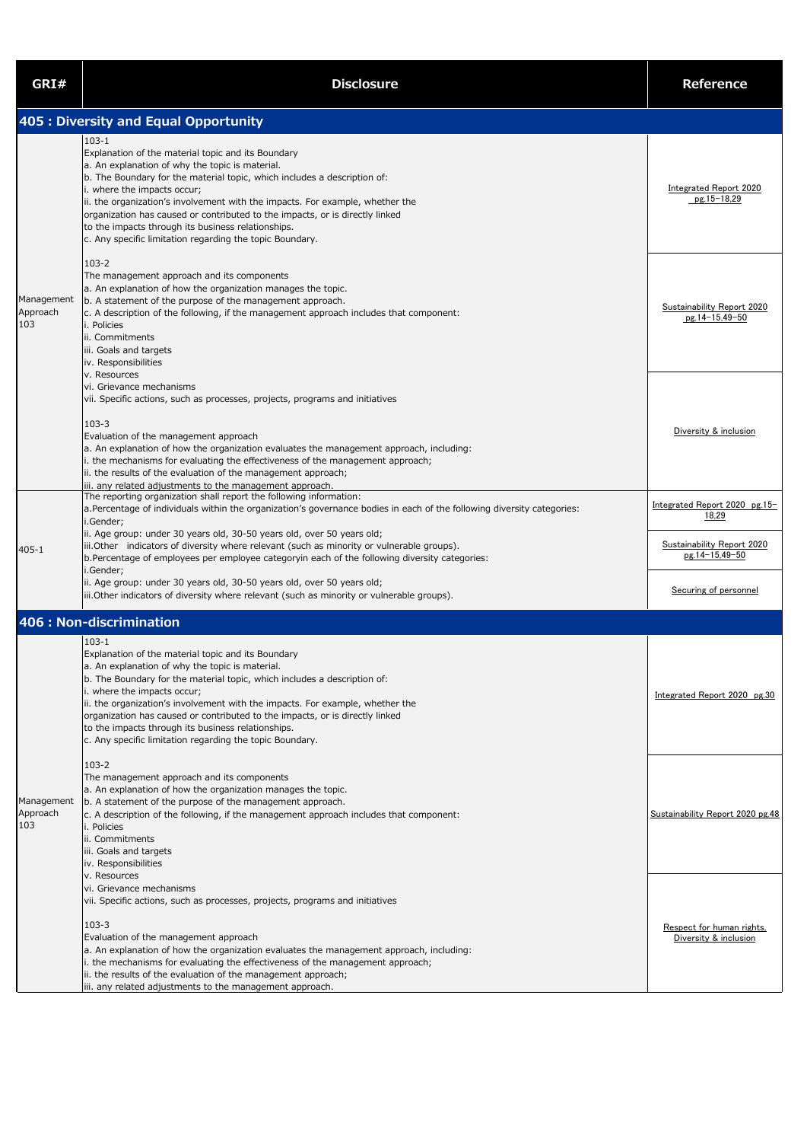| GRI#                          | <b>Disclosure</b>                                                                                                                                                                                                                                                                                                                                                                                                                                                                                                | <b>Reference</b>                                                             |
|-------------------------------|------------------------------------------------------------------------------------------------------------------------------------------------------------------------------------------------------------------------------------------------------------------------------------------------------------------------------------------------------------------------------------------------------------------------------------------------------------------------------------------------------------------|------------------------------------------------------------------------------|
|                               | 405 : Diversity and Equal Opportunity                                                                                                                                                                                                                                                                                                                                                                                                                                                                            |                                                                              |
|                               | $103 - 1$<br>Explanation of the material topic and its Boundary<br>a. An explanation of why the topic is material.<br>b. The Boundary for the material topic, which includes a description of:<br>i. where the impacts occur;<br>ii. the organization's involvement with the impacts. For example, whether the<br>organization has caused or contributed to the impacts, or is directly linked<br>to the impacts through its business relationships.<br>c. Any specific limitation regarding the topic Boundary. | <b>Integrated Report 2020</b><br>$pg.15-18,29$                               |
| Management<br>Approach<br>103 | $103 - 2$<br>The management approach and its components<br>a. An explanation of how the organization manages the topic.<br>b. A statement of the purpose of the management approach.<br>$\vert$ c. A description of the following, if the management approach includes that component:<br>i. Policies<br>ii. Commitments<br>iii. Goals and targets<br>iv. Responsibilities<br>v. Resources                                                                                                                       | <b>Sustainability Report 2020</b><br>pg.14-15,49-50                          |
|                               | vi. Grievance mechanisms<br>vii. Specific actions, such as processes, projects, programs and initiatives<br>$103 - 3$<br>Evaluation of the management approach<br>a. An explanation of how the organization evaluates the management approach, including:<br>i. the mechanisms for evaluating the effectiveness of the management approach;<br>ii. the results of the evaluation of the management approach;<br>iii. any related adjustments to the management approach.                                         | Diversity & inclusion                                                        |
|                               | The reporting organization shall report the following information:<br>a. Percentage of individuals within the organization's governance bodies in each of the following diversity categories:<br>i.Gender;<br>ii. Age group: under 30 years old, 30-50 years old, over 50 years old;                                                                                                                                                                                                                             | Integrated Report 2020 pg.15-<br>18,29                                       |
| 405-1                         | iii.Other indicators of diversity where relevant (such as minority or vulnerable groups).<br>b. Percentage of employees per employee categoryin each of the following diversity categories:<br>i.Gender;<br>ii. Age group: under 30 years old, 30-50 years old, over 50 years old;<br>iii.Other indicators of diversity where relevant (such as minority or vulnerable groups).                                                                                                                                  | <b>Sustainability Report 2020</b><br>pg.14-15,49-50<br>Securing of personnel |
|                               | 406 : Non-discrimination                                                                                                                                                                                                                                                                                                                                                                                                                                                                                         |                                                                              |
|                               | $103 - 1$<br>Explanation of the material topic and its Boundary<br>a. An explanation of why the topic is material.<br>b. The Boundary for the material topic, which includes a description of:<br>i. where the impacts occur;<br>ii. the organization's involvement with the impacts. For example, whether the<br>organization has caused or contributed to the impacts, or is directly linked<br>to the impacts through its business relationships.<br>c. Any specific limitation regarding the topic Boundary. | Integrated Report 2020 pg.30                                                 |
| Management<br>Approach<br>103 | $103 - 2$<br>The management approach and its components<br>a. An explanation of how the organization manages the topic.<br>b. A statement of the purpose of the management approach.<br>$\vert$ c. A description of the following, if the management approach includes that component:<br>i. Policies<br>ii. Commitments<br>iii. Goals and targets<br>iv. Responsibilities<br>v. Resources                                                                                                                       | Sustainability Report 2020 pg.48                                             |
|                               | vi. Grievance mechanisms<br>vii. Specific actions, such as processes, projects, programs and initiatives<br>$103 - 3$<br>Evaluation of the management approach<br>$ a$ . An explanation of how the organization evaluates the management approach, including:<br>i. the mechanisms for evaluating the effectiveness of the management approach;<br>ii. the results of the evaluation of the management approach;<br>iii. any related adjustments to the management approach.                                     | Respect for human rights,<br>Diversity & inclusion                           |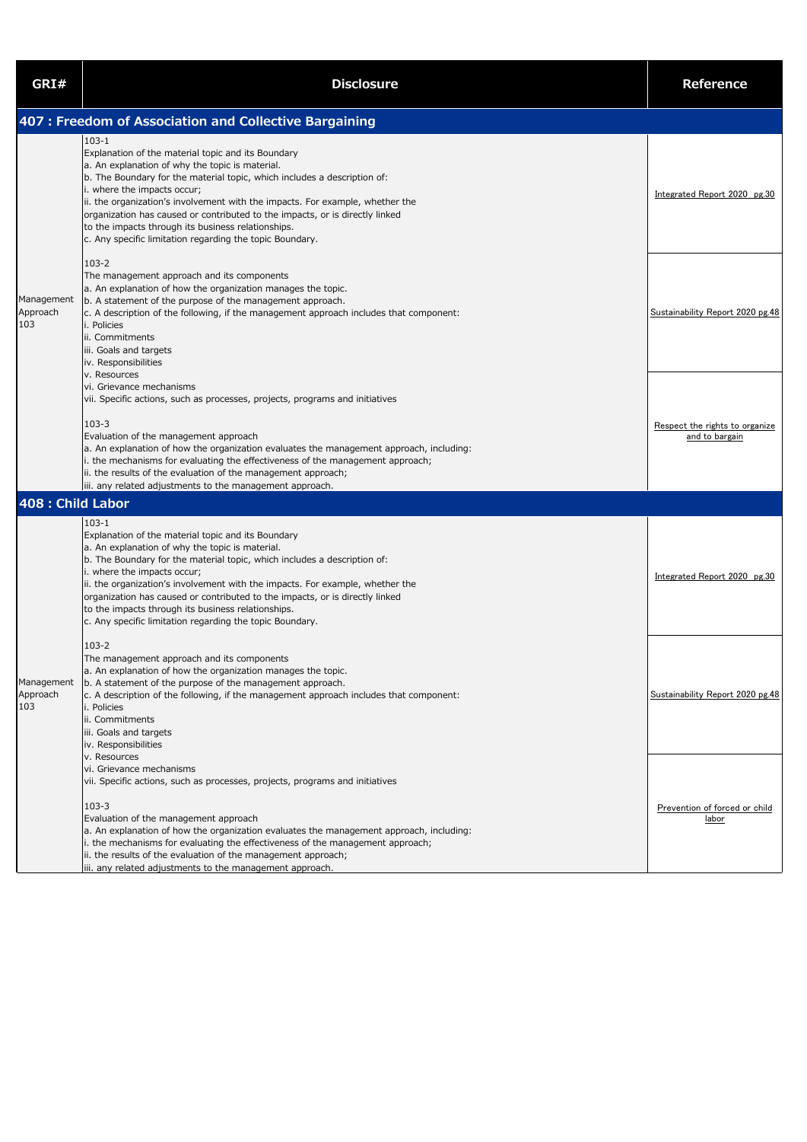| GRI#                          | <b>Disclosure</b>                                                                                                                                                                                                                                                                                                                                                                                                                                                                                                | Reference                                        |
|-------------------------------|------------------------------------------------------------------------------------------------------------------------------------------------------------------------------------------------------------------------------------------------------------------------------------------------------------------------------------------------------------------------------------------------------------------------------------------------------------------------------------------------------------------|--------------------------------------------------|
|                               | 407 : Freedom of Association and Collective Bargaining                                                                                                                                                                                                                                                                                                                                                                                                                                                           |                                                  |
|                               | $103 - 1$<br>Explanation of the material topic and its Boundary<br>a. An explanation of why the topic is material.<br>b. The Boundary for the material topic, which includes a description of:<br>i. where the impacts occur;<br>ii. the organization's involvement with the impacts. For example, whether the<br>organization has caused or contributed to the impacts, or is directly linked<br>to the impacts through its business relationships.<br>c. Any specific limitation regarding the topic Boundary. | Integrated Report 2020 pg.30                     |
| Management<br>Approach<br>103 | $103 - 2$<br>The management approach and its components<br>a. An explanation of how the organization manages the topic.<br>b. A statement of the purpose of the management approach.<br>c. A description of the following, if the management approach includes that component:<br>i. Policies<br>ii. Commitments<br>iii. Goals and targets<br>iv. Responsibilities<br>v. Resources                                                                                                                               | Sustainability Report 2020 pg.48                 |
|                               | vi. Grievance mechanisms<br>vii. Specific actions, such as processes, projects, programs and initiatives<br>$103 - 3$<br>Evaluation of the management approach<br>a. An explanation of how the organization evaluates the management approach, including:<br>i. the mechanisms for evaluating the effectiveness of the management approach;<br>ii. the results of the evaluation of the management approach;<br>iii. any related adjustments to the management approach.                                         | Respect the rights to organize<br>and to bargain |
| 408 : Child Labor             |                                                                                                                                                                                                                                                                                                                                                                                                                                                                                                                  |                                                  |
|                               | $103 - 1$<br>Explanation of the material topic and its Boundary<br>a. An explanation of why the topic is material.<br>b. The Boundary for the material topic, which includes a description of:<br>i. where the impacts occur;<br>ii. the organization's involvement with the impacts. For example, whether the<br>organization has caused or contributed to the impacts, or is directly linked<br>to the impacts through its business relationships.<br>c. Any specific limitation regarding the topic Boundary. | Integrated Report 2020 pg.30                     |
| Management<br>Approach<br>103 | $103 - 2$<br>The management approach and its components<br>a. An explanation of how the organization manages the topic.<br>b. A statement of the purpose of the management approach.<br>c. A description of the following, if the management approach includes that component:<br>i. Policies<br>ii. Commitments<br>iii. Goals and targets<br>iv. Responsibilities<br>v. Resources                                                                                                                               | Sustainability Report 2020 pg.48                 |
|                               | vi. Grievance mechanisms<br>vii. Specific actions, such as processes, projects, programs and initiatives<br>$103 - 3$<br>Evaluation of the management approach<br>a. An explanation of how the organization evaluates the management approach, including:<br>i. the mechanisms for evaluating the effectiveness of the management approach;<br>ii. the results of the evaluation of the management approach;<br>iii. any related adjustments to the management approach.                                         | Prevention of forced or child<br>labor           |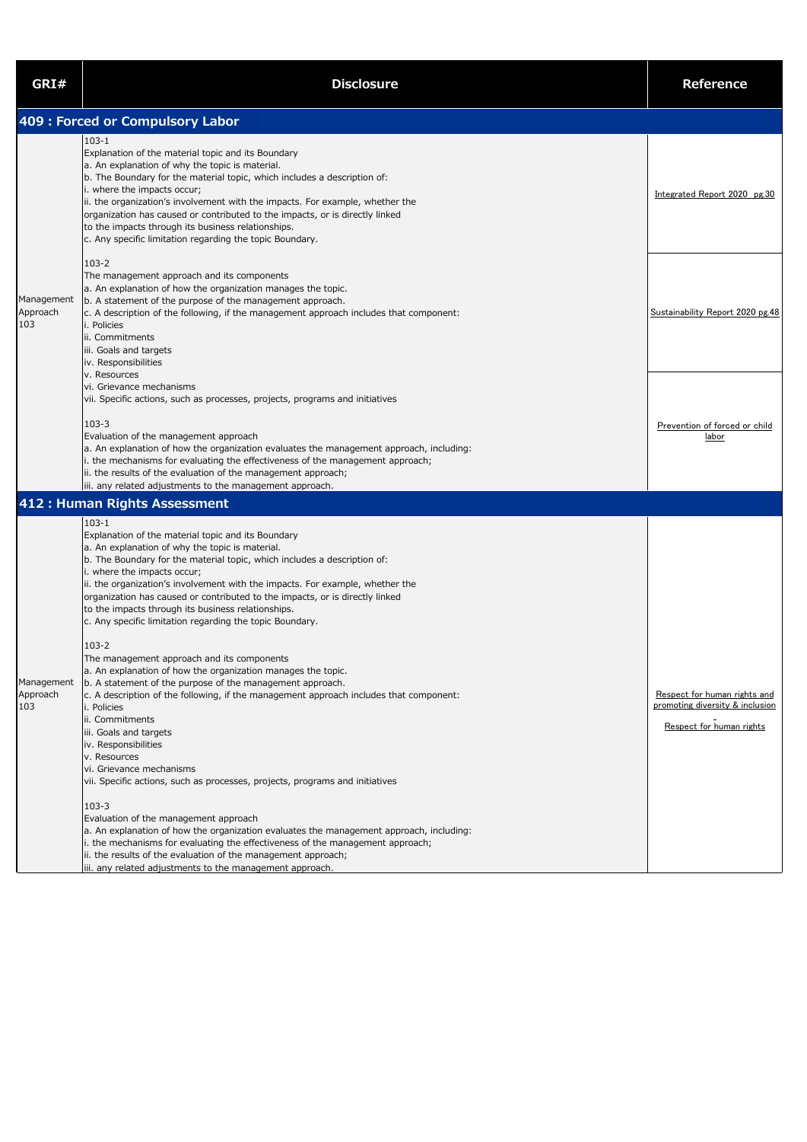| GRI#                          | <b>Disclosure</b>                                                                                                                                                                                                                                                                                                                                                                                                                                                                                                                                                                                                                                                                                                                                                                                                                                                                                                                                                                                                                                                                                                                                                                                                                                                                                                                                                                          | <b>Reference</b>                                                                            |
|-------------------------------|--------------------------------------------------------------------------------------------------------------------------------------------------------------------------------------------------------------------------------------------------------------------------------------------------------------------------------------------------------------------------------------------------------------------------------------------------------------------------------------------------------------------------------------------------------------------------------------------------------------------------------------------------------------------------------------------------------------------------------------------------------------------------------------------------------------------------------------------------------------------------------------------------------------------------------------------------------------------------------------------------------------------------------------------------------------------------------------------------------------------------------------------------------------------------------------------------------------------------------------------------------------------------------------------------------------------------------------------------------------------------------------------|---------------------------------------------------------------------------------------------|
|                               | 409 : Forced or Compulsory Labor                                                                                                                                                                                                                                                                                                                                                                                                                                                                                                                                                                                                                                                                                                                                                                                                                                                                                                                                                                                                                                                                                                                                                                                                                                                                                                                                                           |                                                                                             |
|                               | $103 - 1$<br>Explanation of the material topic and its Boundary<br>a. An explanation of why the topic is material.<br>b. The Boundary for the material topic, which includes a description of:<br>i. where the impacts occur;<br>ii. the organization's involvement with the impacts. For example, whether the<br>organization has caused or contributed to the impacts, or is directly linked<br>to the impacts through its business relationships.<br>c. Any specific limitation regarding the topic Boundary.                                                                                                                                                                                                                                                                                                                                                                                                                                                                                                                                                                                                                                                                                                                                                                                                                                                                           | Integrated Report 2020 pg.30                                                                |
| Management<br>Approach<br>103 | $103 - 2$<br>The management approach and its components<br>a. An explanation of how the organization manages the topic.<br>b. A statement of the purpose of the management approach.<br>c. A description of the following, if the management approach includes that component:<br>i. Policies<br>ii. Commitments<br>iii. Goals and targets<br>iv. Responsibilities<br>v. Resources<br>vi. Grievance mechanisms<br>vii. Specific actions, such as processes, projects, programs and initiatives                                                                                                                                                                                                                                                                                                                                                                                                                                                                                                                                                                                                                                                                                                                                                                                                                                                                                             | Sustainability Report 2020 pg.48                                                            |
|                               | $103 - 3$<br>Evaluation of the management approach<br>a. An explanation of how the organization evaluates the management approach, including:<br>i. the mechanisms for evaluating the effectiveness of the management approach;<br>ii. the results of the evaluation of the management approach;<br>iii. any related adjustments to the management approach.                                                                                                                                                                                                                                                                                                                                                                                                                                                                                                                                                                                                                                                                                                                                                                                                                                                                                                                                                                                                                               | Prevention of forced or child<br>labor                                                      |
|                               | 412 : Human Rights Assessment                                                                                                                                                                                                                                                                                                                                                                                                                                                                                                                                                                                                                                                                                                                                                                                                                                                                                                                                                                                                                                                                                                                                                                                                                                                                                                                                                              |                                                                                             |
| Management<br>Approach<br>103 | $103 - 1$<br>Explanation of the material topic and its Boundary<br>a. An explanation of why the topic is material.<br>b. The Boundary for the material topic, which includes a description of:<br>i. where the impacts occur;<br>ii. the organization's involvement with the impacts. For example, whether the<br>organization has caused or contributed to the impacts, or is directly linked<br>to the impacts through its business relationships.<br>c. Any specific limitation regarding the topic Boundary.<br>$103 - 2$<br>The management approach and its components<br>a. An explanation of how the organization manages the topic.<br>b. A statement of the purpose of the management approach.<br>$\vert$ c. A description of the following, if the management approach includes that component:<br>i. Policies<br>ii. Commitments<br>iii. Goals and targets<br>iv. Responsibilities<br>v. Resources<br>vi. Grievance mechanisms<br>vii. Specific actions, such as processes, projects, programs and initiatives<br>$103 - 3$<br>Evaluation of the management approach<br>a. An explanation of how the organization evaluates the management approach, including:<br>i. the mechanisms for evaluating the effectiveness of the management approach;<br>ii. the results of the evaluation of the management approach;<br>iii. any related adjustments to the management approach. | Respect for human rights and<br>promoting diversity & inclusion<br>Respect for human rights |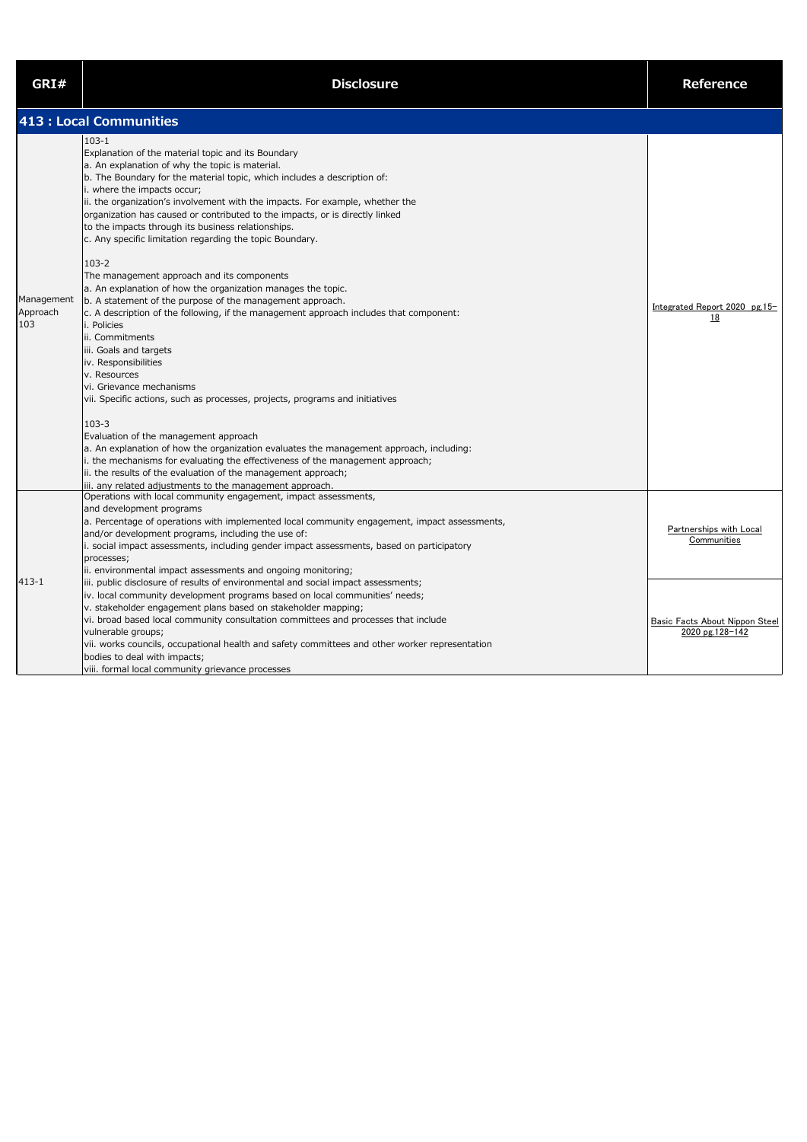| GRI#                          | <b>Disclosure</b>                                                                                                                                                                                                                                                                                                                                                                                                                                                                                                                                                                                                                                                                                                                                                                                                                                                                                                                                                                                                                                                                                                                                                                                                                                                                                                                                                                          | <b>Reference</b>                                  |
|-------------------------------|--------------------------------------------------------------------------------------------------------------------------------------------------------------------------------------------------------------------------------------------------------------------------------------------------------------------------------------------------------------------------------------------------------------------------------------------------------------------------------------------------------------------------------------------------------------------------------------------------------------------------------------------------------------------------------------------------------------------------------------------------------------------------------------------------------------------------------------------------------------------------------------------------------------------------------------------------------------------------------------------------------------------------------------------------------------------------------------------------------------------------------------------------------------------------------------------------------------------------------------------------------------------------------------------------------------------------------------------------------------------------------------------|---------------------------------------------------|
|                               | 413 : Local Communities                                                                                                                                                                                                                                                                                                                                                                                                                                                                                                                                                                                                                                                                                                                                                                                                                                                                                                                                                                                                                                                                                                                                                                                                                                                                                                                                                                    |                                                   |
| Management<br>Approach<br>103 | $103 - 1$<br>Explanation of the material topic and its Boundary<br>a. An explanation of why the topic is material.<br>b. The Boundary for the material topic, which includes a description of:<br>i. where the impacts occur;<br>ii. the organization's involvement with the impacts. For example, whether the<br>organization has caused or contributed to the impacts, or is directly linked<br>to the impacts through its business relationships.<br>c. Any specific limitation regarding the topic Boundary.<br>$103 - 2$<br>The management approach and its components<br>a. An explanation of how the organization manages the topic.<br>b. A statement of the purpose of the management approach.<br>$\vert$ c. A description of the following, if the management approach includes that component:<br>i. Policies<br>ii. Commitments<br>iii. Goals and targets<br>iv. Responsibilities<br>v. Resources<br>vi. Grievance mechanisms<br>vii. Specific actions, such as processes, projects, programs and initiatives<br>$103 - 3$<br>Evaluation of the management approach<br>a. An explanation of how the organization evaluates the management approach, including:<br>i. the mechanisms for evaluating the effectiveness of the management approach;<br>ii. the results of the evaluation of the management approach;<br>iii. any related adjustments to the management approach. | Integrated Report 2020 pg.15-<br><u>18</u>        |
|                               | Operations with local community engagement, impact assessments,<br>and development programs<br>a. Percentage of operations with implemented local community engagement, impact assessments,<br>and/or development programs, including the use of:<br>i. social impact assessments, including gender impact assessments, based on participatory<br>processes;<br>ii. environmental impact assessments and ongoing monitoring;                                                                                                                                                                                                                                                                                                                                                                                                                                                                                                                                                                                                                                                                                                                                                                                                                                                                                                                                                               | Partnerships with Local<br>Communities            |
| $413 - 1$                     | iii. public disclosure of results of environmental and social impact assessments;<br>iv. local community development programs based on local communities' needs;<br>v. stakeholder engagement plans based on stakeholder mapping;<br>vi. broad based local community consultation committees and processes that include<br>vulnerable groups;<br>vii. works councils, occupational health and safety committees and other worker representation<br>bodies to deal with impacts;<br>viii. formal local community grievance processes                                                                                                                                                                                                                                                                                                                                                                                                                                                                                                                                                                                                                                                                                                                                                                                                                                                        | Basic Facts About Nippon Steel<br>2020 pg.128-142 |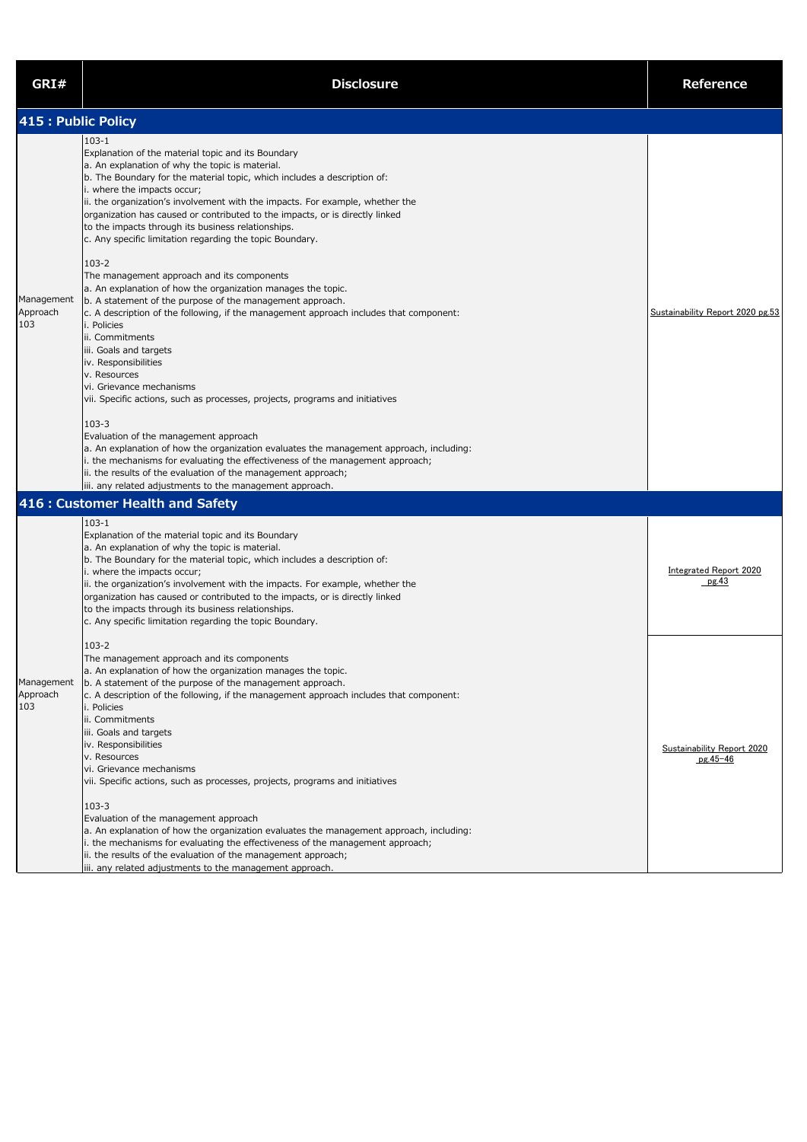| GRI#                          | <b>Disclosure</b>                                                                                                                                                                                                                                                                                                                                                                                                                                                                                                                                                                                                                                                                                                                                                                                                                                                                                                                                                                                                                                                                                                                                                                                                                                                                                                              | <b>Reference</b>                                |  |
|-------------------------------|--------------------------------------------------------------------------------------------------------------------------------------------------------------------------------------------------------------------------------------------------------------------------------------------------------------------------------------------------------------------------------------------------------------------------------------------------------------------------------------------------------------------------------------------------------------------------------------------------------------------------------------------------------------------------------------------------------------------------------------------------------------------------------------------------------------------------------------------------------------------------------------------------------------------------------------------------------------------------------------------------------------------------------------------------------------------------------------------------------------------------------------------------------------------------------------------------------------------------------------------------------------------------------------------------------------------------------|-------------------------------------------------|--|
| 415 : Public Policy           |                                                                                                                                                                                                                                                                                                                                                                                                                                                                                                                                                                                                                                                                                                                                                                                                                                                                                                                                                                                                                                                                                                                                                                                                                                                                                                                                |                                                 |  |
| Management<br>Approach<br>103 | $103 - 1$<br>Explanation of the material topic and its Boundary<br>a. An explanation of why the topic is material.<br>b. The Boundary for the material topic, which includes a description of:<br>i. where the impacts occur;<br>ii. the organization's involvement with the impacts. For example, whether the<br>organization has caused or contributed to the impacts, or is directly linked<br>to the impacts through its business relationships.<br>c. Any specific limitation regarding the topic Boundary.<br>$103 - 2$<br>The management approach and its components<br>a. An explanation of how the organization manages the topic.<br>b. A statement of the purpose of the management approach.<br>$\vert$ c. A description of the following, if the management approach includes that component:<br>i. Policies<br>ii. Commitments<br>iii. Goals and targets<br>iv. Responsibilities<br>v. Resources<br>vi. Grievance mechanisms<br>vii. Specific actions, such as processes, projects, programs and initiatives<br>$103 - 3$<br>Evaluation of the management approach<br>a. An explanation of how the organization evaluates the management approach, including:<br>i. the mechanisms for evaluating the effectiveness of the management approach;<br>ii. the results of the evaluation of the management approach; | Sustainability Report 2020 pg.53                |  |
|                               | iii. any related adjustments to the management approach.<br>416 : Customer Health and Safety                                                                                                                                                                                                                                                                                                                                                                                                                                                                                                                                                                                                                                                                                                                                                                                                                                                                                                                                                                                                                                                                                                                                                                                                                                   |                                                 |  |
|                               | $103 - 1$<br>Explanation of the material topic and its Boundary<br>a. An explanation of why the topic is material.<br>b. The Boundary for the material topic, which includes a description of:<br>i. where the impacts occur;<br>ii. the organization's involvement with the impacts. For example, whether the<br>organization has caused or contributed to the impacts, or is directly linked<br>to the impacts through its business relationships.<br>c. Any specific limitation regarding the topic Boundary.                                                                                                                                                                                                                                                                                                                                                                                                                                                                                                                                                                                                                                                                                                                                                                                                               | <b>Integrated Report 2020</b><br>pg.43          |  |
| Management<br>Approach<br>103 | $103 - 2$<br>The management approach and its components<br>a. An explanation of how the organization manages the topic.<br>b. A statement of the purpose of the management approach.<br>c. A description of the following, if the management approach includes that component:<br>i. Policies<br>ii. Commitments<br>iii. Goals and targets<br>iv. Responsibilities<br>v. Resources<br>vi. Grievance mechanisms<br>vii. Specific actions, such as processes, projects, programs and initiatives<br>$103 - 3$<br>Evaluation of the management approach<br>a. An explanation of how the organization evaluates the management approach, including:<br>i. the mechanisms for evaluating the effectiveness of the management approach;<br>ii. the results of the evaluation of the management approach;<br>iii. any related adjustments to the management approach.                                                                                                                                                                                                                                                                                                                                                                                                                                                                 | <b>Sustainability Report 2020</b><br>$pg.45-46$ |  |